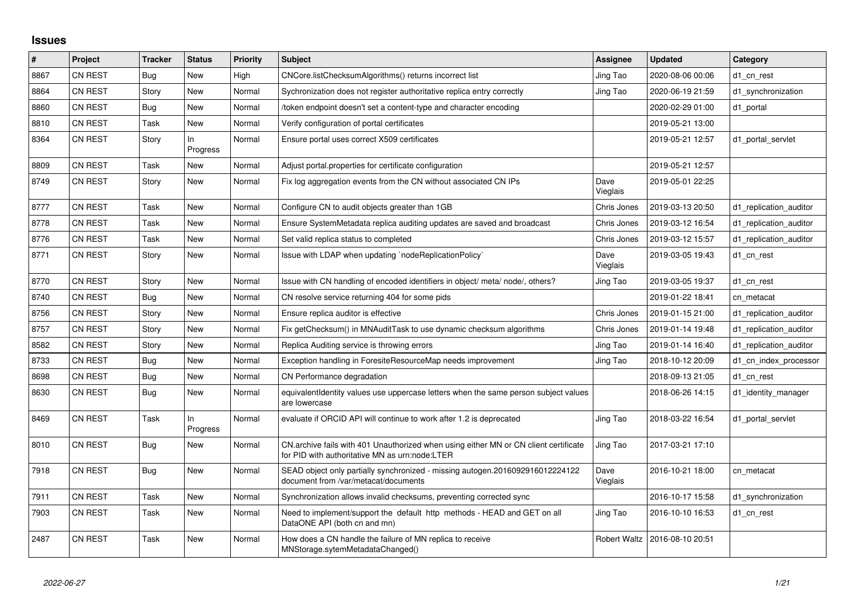## **Issues**

| $\#$ | Project        | <b>Tracker</b> | <b>Status</b>     | <b>Priority</b> | <b>Subject</b>                                                                                                                         | Assignee         | <b>Updated</b>                  | Category               |
|------|----------------|----------------|-------------------|-----------------|----------------------------------------------------------------------------------------------------------------------------------------|------------------|---------------------------------|------------------------|
| 8867 | CN REST        | Bug            | <b>New</b>        | High            | CNCore.listChecksumAlgorithms() returns incorrect list                                                                                 | Jing Tao         | 2020-08-06 00:06                | d1 cn rest             |
| 8864 | <b>CN REST</b> | Story          | New               | Normal          | Sychronization does not register authoritative replica entry correctly                                                                 | Jing Tao         | 2020-06-19 21:59                | d1 synchronization     |
| 8860 | CN REST        | Bug            | New               | Normal          | token endpoint doesn't set a content-type and character encoding                                                                       |                  | 2020-02-29 01:00                | d1 portal              |
| 8810 | <b>CN REST</b> | Task           | <b>New</b>        | Normal          | Verify configuration of portal certificates                                                                                            |                  | 2019-05-21 13:00                |                        |
| 8364 | <b>CN REST</b> | Story          | In<br>Progress    | Normal          | Ensure portal uses correct X509 certificates                                                                                           |                  | 2019-05-21 12:57                | d1 portal servlet      |
| 8809 | <b>CN REST</b> | Task           | New               | Normal          | Adjust portal properties for certificate configuration                                                                                 |                  | 2019-05-21 12:57                |                        |
| 8749 | CN REST        | Story          | New               | Normal          | Fix log aggregation events from the CN without associated CN IPs                                                                       | Dave<br>Vieglais | 2019-05-01 22:25                |                        |
| 8777 | CN REST        | Task           | New               | Normal          | Configure CN to audit objects greater than 1GB                                                                                         | Chris Jones      | 2019-03-13 20:50                | d1 replication auditor |
| 8778 | CN REST        | Task           | <b>New</b>        | Normal          | Ensure SystemMetadata replica auditing updates are saved and broadcast                                                                 | Chris Jones      | 2019-03-12 16:54                | d1_replication_auditor |
| 8776 | CN REST        | Task           | <b>New</b>        | Normal          | Set valid replica status to completed                                                                                                  | Chris Jones      | 2019-03-12 15:57                | d1 replication auditor |
| 8771 | CN REST        | Story          | <b>New</b>        | Normal          | Issue with LDAP when updating `nodeReplicationPolicy`                                                                                  | Dave<br>Vieglais | 2019-03-05 19:43                | d1 cn rest             |
| 8770 | CN REST        | Story          | New               | Normal          | Issue with CN handling of encoded identifiers in object/ meta/ node/, others?                                                          | Jing Tao         | 2019-03-05 19:37                | d1 cn rest             |
| 8740 | CN REST        | Bug            | <b>New</b>        | Normal          | CN resolve service returning 404 for some pids                                                                                         |                  | 2019-01-22 18:41                | cn metacat             |
| 8756 | CN REST        | Story          | <b>New</b>        | Normal          | Ensure replica auditor is effective                                                                                                    | Chris Jones      | 2019-01-15 21:00                | d1 replication auditor |
| 8757 | CN REST        | Story          | <b>New</b>        | Normal          | Fix getChecksum() in MNAuditTask to use dynamic checksum algorithms                                                                    | Chris Jones      | 2019-01-14 19:48                | d1 replication auditor |
| 8582 | CN REST        | Story          | <b>New</b>        | Normal          | Replica Auditing service is throwing errors                                                                                            | Jing Tao         | 2019-01-14 16:40                | d1 replication auditor |
| 8733 | CN REST        | Bug            | <b>New</b>        | Normal          | Exception handling in ForesiteResourceMap needs improvement                                                                            | Jing Tao         | 2018-10-12 20:09                | d1 cn index processor  |
| 8698 | CN REST        | Bug            | New               | Normal          | CN Performance degradation                                                                                                             |                  | 2018-09-13 21:05                | d1_cn_rest             |
| 8630 | <b>CN REST</b> | Bug            | New               | Normal          | equivalent dentity values use uppercase letters when the same person subject values<br>are lowercase                                   |                  | 2018-06-26 14:15                | d1_identity_manager    |
| 8469 | CN REST        | Task           | $\ln$<br>Progress | Normal          | evaluate if ORCID API will continue to work after 1.2 is deprecated                                                                    | Jing Tao         | 2018-03-22 16:54                | d1 portal servlet      |
| 8010 | CN REST        | Bug            | <b>New</b>        | Normal          | CN.archive fails with 401 Unauthorized when using either MN or CN client certificate<br>for PID with authoritative MN as urn:node:LTER | Jing Tao         | 2017-03-21 17:10                |                        |
| 7918 | CN REST        | Bug            | New               | Normal          | SEAD object only partially synchronized - missing autogen.2016092916012224122<br>document from /var/metacat/documents                  | Dave<br>Vieglais | 2016-10-21 18:00                | cn metacat             |
| 7911 | CN REST        | Task           | <b>New</b>        | Normal          | Synchronization allows invalid checksums, preventing corrected sync                                                                    |                  | 2016-10-17 15:58                | d1_synchronization     |
| 7903 | CN REST        | Task           | New               | Normal          | Need to implement/support the default http methods - HEAD and GET on all<br>DataONE API (both cn and mn)                               | Jing Tao         | 2016-10-10 16:53                | d1 cn rest             |
| 2487 | <b>CN REST</b> | Task           | New               | Normal          | How does a CN handle the failure of MN replica to receive<br>MNStorage.sytemMetadataChanged()                                          |                  | Robert Waltz   2016-08-10 20:51 |                        |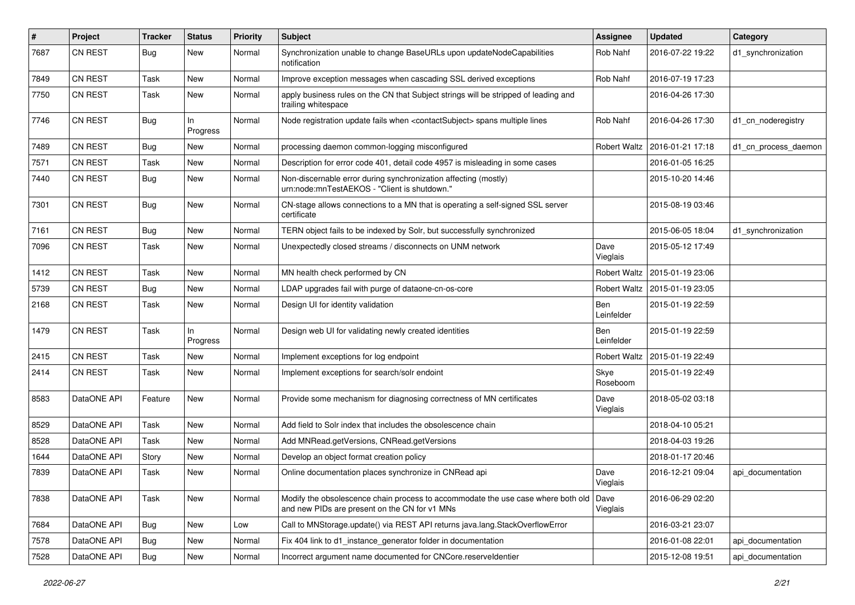| $\#$ | Project        | <b>Tracker</b> | <b>Status</b>  | <b>Priority</b> | Subject                                                                                                                                  | Assignee            | <b>Updated</b>   | Category             |
|------|----------------|----------------|----------------|-----------------|------------------------------------------------------------------------------------------------------------------------------------------|---------------------|------------------|----------------------|
| 7687 | <b>CN REST</b> | <b>Bug</b>     | New            | Normal          | Synchronization unable to change BaseURLs upon updateNodeCapabilities<br>notification                                                    | Rob Nahf            | 2016-07-22 19:22 | d1_synchronization   |
| 7849 | <b>CN REST</b> | Task           | New            | Normal          | Improve exception messages when cascading SSL derived exceptions                                                                         | Rob Nahf            | 2016-07-19 17:23 |                      |
| 7750 | <b>CN REST</b> | Task           | New            | Normal          | apply business rules on the CN that Subject strings will be stripped of leading and<br>trailing whitespace                               |                     | 2016-04-26 17:30 |                      |
| 7746 | CN REST        | Bug            | In<br>Progress | Normal          | Node registration update fails when <contactsubject> spans multiple lines</contactsubject>                                               | Rob Nahf            | 2016-04-26 17:30 | d1_cn_noderegistry   |
| 7489 | <b>CN REST</b> | <b>Bug</b>     | New            | Normal          | processing daemon common-logging misconfigured                                                                                           | <b>Robert Waltz</b> | 2016-01-21 17:18 | d1_cn_process_daemon |
| 7571 | <b>CN REST</b> | Task           | New            | Normal          | Description for error code 401, detail code 4957 is misleading in some cases                                                             |                     | 2016-01-05 16:25 |                      |
| 7440 | CN REST        | <b>Bug</b>     | New            | Normal          | Non-discernable error during synchronization affecting (mostly)<br>urn:node:mnTestAEKOS - "Client is shutdown."                          |                     | 2015-10-20 14:46 |                      |
| 7301 | CN REST        | <b>Bug</b>     | New            | Normal          | CN-stage allows connections to a MN that is operating a self-signed SSL server<br>certificate                                            |                     | 2015-08-19 03:46 |                      |
| 7161 | CN REST        | <b>Bug</b>     | New            | Normal          | TERN object fails to be indexed by Solr, but successfully synchronized                                                                   |                     | 2015-06-05 18:04 | d1_synchronization   |
| 7096 | <b>CN REST</b> | Task           | New            | Normal          | Unexpectedly closed streams / disconnects on UNM network                                                                                 | Dave<br>Vieglais    | 2015-05-12 17:49 |                      |
| 1412 | CN REST        | Task           | New            | Normal          | MN health check performed by CN                                                                                                          | Robert Waltz        | 2015-01-19 23:06 |                      |
| 5739 | <b>CN REST</b> | Bug            | New            | Normal          | LDAP upgrades fail with purge of dataone-cn-os-core                                                                                      | Robert Waltz        | 2015-01-19 23:05 |                      |
| 2168 | CN REST        | Task           | New            | Normal          | Design UI for identity validation                                                                                                        | Ben<br>Leinfelder   | 2015-01-19 22:59 |                      |
| 1479 | CN REST        | Task           | In<br>Progress | Normal          | Design web UI for validating newly created identities                                                                                    | Ben<br>Leinfelder   | 2015-01-19 22:59 |                      |
| 2415 | CN REST        | Task           | New            | Normal          | Implement exceptions for log endpoint                                                                                                    | <b>Robert Waltz</b> | 2015-01-19 22:49 |                      |
| 2414 | <b>CN REST</b> | Task           | New            | Normal          | Implement exceptions for search/solr endoint                                                                                             | Skye<br>Roseboom    | 2015-01-19 22:49 |                      |
| 8583 | DataONE API    | Feature        | New            | Normal          | Provide some mechanism for diagnosing correctness of MN certificates                                                                     | Dave<br>Vieglais    | 2018-05-02 03:18 |                      |
| 8529 | DataONE API    | Task           | New            | Normal          | Add field to Solr index that includes the obsolescence chain                                                                             |                     | 2018-04-10 05:21 |                      |
| 8528 | DataONE API    | Task           | <b>New</b>     | Normal          | Add MNRead.getVersions, CNRead.getVersions                                                                                               |                     | 2018-04-03 19:26 |                      |
| 1644 | DataONE API    | Story          | New            | Normal          | Develop an object format creation policy                                                                                                 |                     | 2018-01-17 20:46 |                      |
| 7839 | DataONE API    | Task           | New            | Normal          | Online documentation places synchronize in CNRead api                                                                                    | Dave<br>Vieglais    | 2016-12-21 09:04 | api documentation    |
| 7838 | DataONE API    | Task           | New            | Normal          | Modify the obsolescence chain process to accommodate the use case where both old   Dave<br>and new PIDs are present on the CN for v1 MNs | Vieglais            | 2016-06-29 02:20 |                      |
| 7684 | DataONE API    | <b>Bug</b>     | New            | Low             | Call to MNStorage.update() via REST API returns java.lang.StackOverflowError                                                             |                     | 2016-03-21 23:07 |                      |
| 7578 | DataONE API    | Bug            | New            | Normal          | Fix 404 link to d1_instance_generator folder in documentation                                                                            |                     | 2016-01-08 22:01 | api documentation    |
| 7528 | DataONE API    | Bug            | New            | Normal          | Incorrect argument name documented for CNCore.reserveldentier                                                                            |                     | 2015-12-08 19:51 | api documentation    |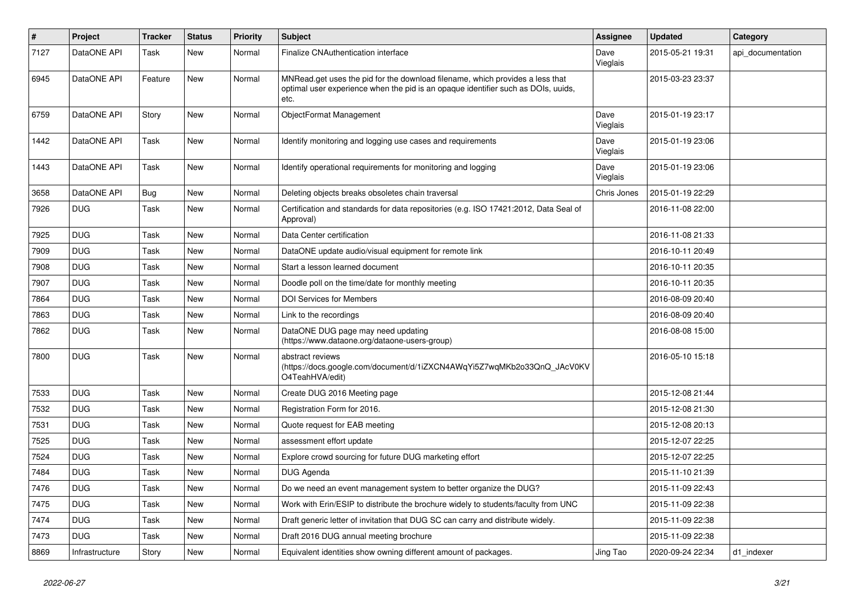| $\#$ | Project        | <b>Tracker</b> | <b>Status</b> | Priority | <b>Subject</b>                                                                                                                                                             | Assignee         | <b>Updated</b>   | Category          |
|------|----------------|----------------|---------------|----------|----------------------------------------------------------------------------------------------------------------------------------------------------------------------------|------------------|------------------|-------------------|
| 7127 | DataONE API    | Task           | New           | Normal   | Finalize CNAuthentication interface                                                                                                                                        | Dave<br>Vieglais | 2015-05-21 19:31 | api documentation |
| 6945 | DataONE API    | Feature        | New           | Normal   | MNRead.get uses the pid for the download filename, which provides a less that<br>optimal user experience when the pid is an opaque identifier such as DOIs, uuids,<br>etc. |                  | 2015-03-23 23:37 |                   |
| 6759 | DataONE API    | Story          | <b>New</b>    | Normal   | ObjectFormat Management                                                                                                                                                    | Dave<br>Vieglais | 2015-01-19 23:17 |                   |
| 1442 | DataONE API    | Task           | <b>New</b>    | Normal   | Identify monitoring and logging use cases and requirements                                                                                                                 | Dave<br>Vieglais | 2015-01-19 23:06 |                   |
| 1443 | DataONE API    | Task           | New           | Normal   | Identify operational requirements for monitoring and logging                                                                                                               | Dave<br>Vieglais | 2015-01-19 23:06 |                   |
| 3658 | DataONE API    | <b>Bug</b>     | New           | Normal   | Deleting objects breaks obsoletes chain traversal                                                                                                                          | Chris Jones      | 2015-01-19 22:29 |                   |
| 7926 | <b>DUG</b>     | Task           | New           | Normal   | Certification and standards for data repositories (e.g. ISO 17421:2012, Data Seal of<br>Approval)                                                                          |                  | 2016-11-08 22:00 |                   |
| 7925 | <b>DUG</b>     | Task           | New           | Normal   | Data Center certification                                                                                                                                                  |                  | 2016-11-08 21:33 |                   |
| 7909 | <b>DUG</b>     | Task           | New           | Normal   | DataONE update audio/visual equipment for remote link                                                                                                                      |                  | 2016-10-11 20:49 |                   |
| 7908 | <b>DUG</b>     | Task           | <b>New</b>    | Normal   | Start a lesson learned document                                                                                                                                            |                  | 2016-10-11 20:35 |                   |
| 7907 | <b>DUG</b>     | Task           | <b>New</b>    | Normal   | Doodle poll on the time/date for monthly meeting                                                                                                                           |                  | 2016-10-11 20:35 |                   |
| 7864 | <b>DUG</b>     | Task           | New           | Normal   | <b>DOI Services for Members</b>                                                                                                                                            |                  | 2016-08-09 20:40 |                   |
| 7863 | <b>DUG</b>     | Task           | New           | Normal   | Link to the recordings                                                                                                                                                     |                  | 2016-08-09 20:40 |                   |
| 7862 | <b>DUG</b>     | Task           | New           | Normal   | DataONE DUG page may need updating<br>(https://www.dataone.org/dataone-users-group)                                                                                        |                  | 2016-08-08 15:00 |                   |
| 7800 | <b>DUG</b>     | Task           | New           | Normal   | abstract reviews<br>(https://docs.google.com/document/d/1iZXCN4AWqYi5Z7wqMKb2o33QnQ_JAcV0KV<br>O4TeahHVA/edit)                                                             |                  | 2016-05-10 15:18 |                   |
| 7533 | <b>DUG</b>     | Task           | <b>New</b>    | Normal   | Create DUG 2016 Meeting page                                                                                                                                               |                  | 2015-12-08 21:44 |                   |
| 7532 | <b>DUG</b>     | Task           | <b>New</b>    | Normal   | Registration Form for 2016.                                                                                                                                                |                  | 2015-12-08 21:30 |                   |
| 7531 | <b>DUG</b>     | Task           | <b>New</b>    | Normal   | Quote request for EAB meeting                                                                                                                                              |                  | 2015-12-08 20:13 |                   |
| 7525 | <b>DUG</b>     | Task           | New           | Normal   | assessment effort update                                                                                                                                                   |                  | 2015-12-07 22:25 |                   |
| 7524 | <b>DUG</b>     | Task           | New           | Normal   | Explore crowd sourcing for future DUG marketing effort                                                                                                                     |                  | 2015-12-07 22:25 |                   |
| 7484 | <b>DUG</b>     | Task           | <b>New</b>    | Normal   | <b>DUG Agenda</b>                                                                                                                                                          |                  | 2015-11-10 21:39 |                   |
| 7476 | <b>DUG</b>     | Task           | <b>New</b>    | Normal   | Do we need an event management system to better organize the DUG?                                                                                                          |                  | 2015-11-09 22:43 |                   |
| 7475 | <b>DUG</b>     | Task           | <b>New</b>    | Normal   | Work with Erin/ESIP to distribute the brochure widely to students/faculty from UNC                                                                                         |                  | 2015-11-09 22:38 |                   |
| 7474 | <b>DUG</b>     | Task           | <b>New</b>    | Normal   | Draft generic letter of invitation that DUG SC can carry and distribute widely.                                                                                            |                  | 2015-11-09 22:38 |                   |
| 7473 | <b>DUG</b>     | Task           | <b>New</b>    | Normal   | Draft 2016 DUG annual meeting brochure                                                                                                                                     |                  | 2015-11-09 22:38 |                   |
| 8869 | Infrastructure | Story          | New           | Normal   | Equivalent identities show owning different amount of packages.                                                                                                            | Jing Tao         | 2020-09-24 22:34 | d1 indexer        |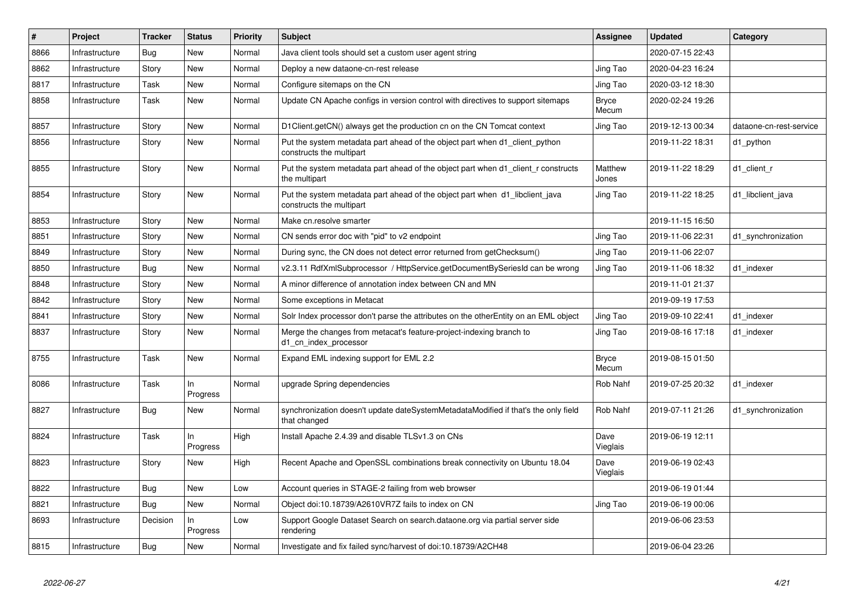| #    | <b>Project</b> | <b>Tracker</b> | <b>Status</b>  | <b>Priority</b> | <b>Subject</b>                                                                                           | Assignee              | <b>Updated</b>   | Category                |
|------|----------------|----------------|----------------|-----------------|----------------------------------------------------------------------------------------------------------|-----------------------|------------------|-------------------------|
| 8866 | Infrastructure | <b>Bug</b>     | <b>New</b>     | Normal          | Java client tools should set a custom user agent string                                                  |                       | 2020-07-15 22:43 |                         |
| 8862 | Infrastructure | Story          | <b>New</b>     | Normal          | Deploy a new dataone-cn-rest release                                                                     | Jing Tao              | 2020-04-23 16:24 |                         |
| 8817 | Infrastructure | Task           | New            | Normal          | Configure sitemaps on the CN                                                                             | Jing Tao              | 2020-03-12 18:30 |                         |
| 8858 | Infrastructure | Task           | <b>New</b>     | Normal          | Update CN Apache configs in version control with directives to support sitemaps                          | <b>Bryce</b><br>Mecum | 2020-02-24 19:26 |                         |
| 8857 | Infrastructure | Story          | New            | Normal          | D1Client.getCN() always get the production cn on the CN Tomcat context                                   | Jing Tao              | 2019-12-13 00:34 | dataone-cn-rest-service |
| 8856 | Infrastructure | Story          | <b>New</b>     | Normal          | Put the system metadata part ahead of the object part when d1_client_python<br>constructs the multipart  |                       | 2019-11-22 18:31 | d1_python               |
| 8855 | Infrastructure | Story          | <b>New</b>     | Normal          | Put the system metadata part ahead of the object part when d1_client_r constructs<br>the multipart       | Matthew<br>Jones      | 2019-11-22 18:29 | d1 client r             |
| 8854 | Infrastructure | Story          | <b>New</b>     | Normal          | Put the system metadata part ahead of the object part when d1_libclient_java<br>constructs the multipart | Jing Tao              | 2019-11-22 18:25 | d1 libclient java       |
| 8853 | Infrastructure | Story          | New            | Normal          | Make cn.resolve smarter                                                                                  |                       | 2019-11-15 16:50 |                         |
| 8851 | Infrastructure | Story          | New            | Normal          | CN sends error doc with "pid" to v2 endpoint                                                             | Jing Tao              | 2019-11-06 22:31 | d1 synchronization      |
| 8849 | Infrastructure | Story          | New            | Normal          | During sync, the CN does not detect error returned from getChecksum()                                    | Jing Tao              | 2019-11-06 22:07 |                         |
| 8850 | Infrastructure | <b>Bug</b>     | New            | Normal          | v2.3.11 RdfXmlSubprocessor / HttpService.getDocumentBySeriesId can be wrong                              | Jing Tao              | 2019-11-06 18:32 | d1 indexer              |
| 8848 | Infrastructure | Story          | New            | Normal          | A minor difference of annotation index between CN and MN                                                 |                       | 2019-11-01 21:37 |                         |
| 8842 | Infrastructure | Story          | New            | Normal          | Some exceptions in Metacat                                                                               |                       | 2019-09-19 17:53 |                         |
| 8841 | Infrastructure | Story          | <b>New</b>     | Normal          | Solr Index processor don't parse the attributes on the otherEntity on an EML object                      | Jing Tao              | 2019-09-10 22:41 | d1 indexer              |
| 8837 | Infrastructure | Story          | New            | Normal          | Merge the changes from metacat's feature-project-indexing branch to<br>d1_cn_index_processor             | Jing Tao              | 2019-08-16 17:18 | d1 indexer              |
| 8755 | Infrastructure | Task           | New            | Normal          | Expand EML indexing support for EML 2.2                                                                  | <b>Bryce</b><br>Mecum | 2019-08-15 01:50 |                         |
| 8086 | Infrastructure | Task           | ln<br>Progress | Normal          | upgrade Spring dependencies                                                                              | Rob Nahf              | 2019-07-25 20:32 | d1 indexer              |
| 8827 | Infrastructure | Bug            | New            | Normal          | synchronization doesn't update dateSystemMetadataModified if that's the only field<br>that changed       | Rob Nahf              | 2019-07-11 21:26 | d1 synchronization      |
| 8824 | Infrastructure | Task           | In<br>Progress | High            | Install Apache 2.4.39 and disable TLSv1.3 on CNs                                                         | Dave<br>Vieglais      | 2019-06-19 12:11 |                         |
| 8823 | Infrastructure | Story          | New            | High            | Recent Apache and OpenSSL combinations break connectivity on Ubuntu 18.04                                | Dave<br>Vieglais      | 2019-06-19 02:43 |                         |
| 8822 | Infrastructure | <b>Bug</b>     | New            | Low             | Account queries in STAGE-2 failing from web browser                                                      |                       | 2019-06-19 01:44 |                         |
| 8821 | Infrastructure | Bug            | <b>New</b>     | Normal          | Object doi:10.18739/A2610VR7Z fails to index on CN                                                       | Jing Tao              | 2019-06-19 00:06 |                         |
| 8693 | Infrastructure | Decision       | In<br>Progress | Low             | Support Google Dataset Search on search.dataone.org via partial server side<br>rendering                 |                       | 2019-06-06 23:53 |                         |
| 8815 | Infrastructure | Bug            | New            | Normal          | Investigate and fix failed sync/harvest of doi:10.18739/A2CH48                                           |                       | 2019-06-04 23:26 |                         |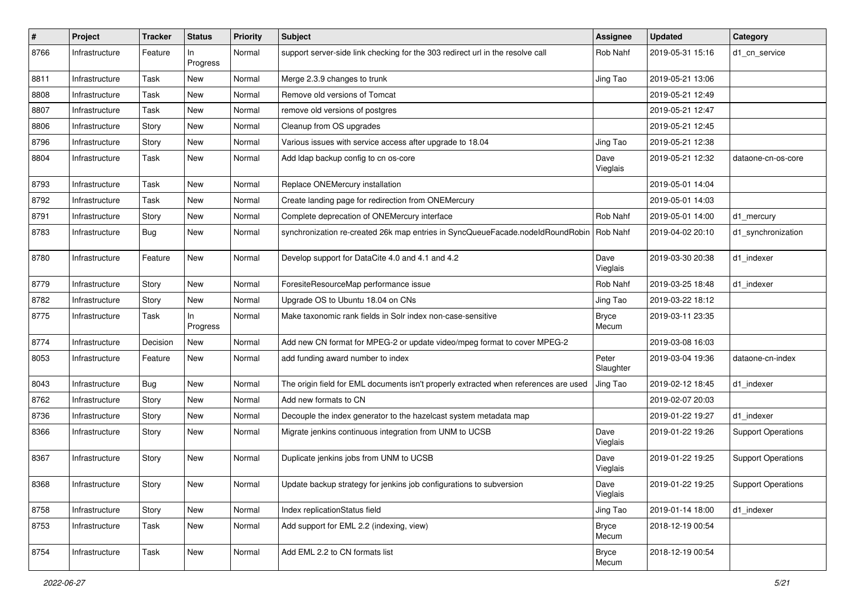| #    | Project        | <b>Tracker</b> | <b>Status</b>     | <b>Priority</b> | <b>Subject</b>                                                                       | <b>Assignee</b>       | <b>Updated</b>   | Category                  |
|------|----------------|----------------|-------------------|-----------------|--------------------------------------------------------------------------------------|-----------------------|------------------|---------------------------|
| 8766 | Infrastructure | Feature        | In<br>Progress    | Normal          | support server-side link checking for the 303 redirect url in the resolve call       | Rob Nahf              | 2019-05-31 15:16 | d1 cn service             |
| 8811 | Infrastructure | Task           | New               | Normal          | Merge 2.3.9 changes to trunk                                                         | Jing Tao              | 2019-05-21 13:06 |                           |
| 8808 | Infrastructure | Task           | <b>New</b>        | Normal          | Remove old versions of Tomcat                                                        |                       | 2019-05-21 12:49 |                           |
| 8807 | Infrastructure | Task           | <b>New</b>        | Normal          | remove old versions of postgres                                                      |                       | 2019-05-21 12:47 |                           |
| 8806 | Infrastructure | Story          | New               | Normal          | Cleanup from OS upgrades                                                             |                       | 2019-05-21 12:45 |                           |
| 8796 | Infrastructure | Story          | New               | Normal          | Various issues with service access after upgrade to 18.04                            | Jing Tao              | 2019-05-21 12:38 |                           |
| 8804 | Infrastructure | Task           | New               | Normal          | Add Idap backup config to cn os-core                                                 | Dave<br>Vieglais      | 2019-05-21 12:32 | dataone-cn-os-core        |
| 8793 | Infrastructure | Task           | New               | Normal          | Replace ONEMercury installation                                                      |                       | 2019-05-01 14:04 |                           |
| 8792 | Infrastructure | Task           | New               | Normal          | Create landing page for redirection from ONEMercury                                  |                       | 2019-05-01 14:03 |                           |
| 8791 | Infrastructure | Story          | <b>New</b>        | Normal          | Complete deprecation of ONEMercury interface                                         | Rob Nahf              | 2019-05-01 14:00 | d1 mercury                |
| 8783 | Infrastructure | Bug            | New               | Normal          | synchronization re-created 26k map entries in SyncQueueFacade.nodeIdRoundRobin       | Rob Nahf              | 2019-04-02 20:10 | d1_synchronization        |
| 8780 | Infrastructure | Feature        | New               | Normal          | Develop support for DataCite 4.0 and 4.1 and 4.2                                     | Dave<br>Vieglais      | 2019-03-30 20:38 | d1_indexer                |
| 8779 | Infrastructure | Story          | New               | Normal          | ForesiteResourceMap performance issue                                                | Rob Nahf              | 2019-03-25 18:48 | d1_indexer                |
| 8782 | Infrastructure | Story          | <b>New</b>        | Normal          | Upgrade OS to Ubuntu 18.04 on CNs                                                    | Jing Tao              | 2019-03-22 18:12 |                           |
| 8775 | Infrastructure | Task           | $\ln$<br>Progress | Normal          | Make taxonomic rank fields in Solr index non-case-sensitive                          | <b>Bryce</b><br>Mecum | 2019-03-11 23:35 |                           |
| 8774 | Infrastructure | Decision       | <b>New</b>        | Normal          | Add new CN format for MPEG-2 or update video/mpeg format to cover MPEG-2             |                       | 2019-03-08 16:03 |                           |
| 8053 | Infrastructure | Feature        | New               | Normal          | add funding award number to index                                                    | Peter<br>Slaughter    | 2019-03-04 19:36 | dataone-cn-index          |
| 8043 | Infrastructure | Bug            | New               | Normal          | The origin field for EML documents isn't properly extracted when references are used | Jing Tao              | 2019-02-12 18:45 | d1 indexer                |
| 8762 | Infrastructure | Story          | New               | Normal          | Add new formats to CN                                                                |                       | 2019-02-07 20:03 |                           |
| 8736 | Infrastructure | Story          | <b>New</b>        | Normal          | Decouple the index generator to the hazelcast system metadata map                    |                       | 2019-01-22 19:27 | d1_indexer                |
| 8366 | Infrastructure | Story          | New               | Normal          | Migrate jenkins continuous integration from UNM to UCSB                              | Dave<br>Vieglais      | 2019-01-22 19:26 | <b>Support Operations</b> |
| 8367 | Infrastructure | Story          | New               | Normal          | Duplicate jenkins jobs from UNM to UCSB                                              | Dave<br>Vieglais      | 2019-01-22 19:25 | <b>Support Operations</b> |
| 8368 | Infrastructure | Story          | New               | Normal          | Update backup strategy for jenkins job configurations to subversion                  | Dave<br>Vieglais      | 2019-01-22 19:25 | <b>Support Operations</b> |
| 8758 | Infrastructure | Story          | New               | Normal          | Index replicationStatus field                                                        | Jing Tao              | 2019-01-14 18:00 | d1_indexer                |
| 8753 | Infrastructure | Task           | New               | Normal          | Add support for EML 2.2 (indexing, view)                                             | <b>Bryce</b><br>Mecum | 2018-12-19 00:54 |                           |
| 8754 | Infrastructure | Task           | New               | Normal          | Add EML 2.2 to CN formats list                                                       | <b>Bryce</b><br>Mecum | 2018-12-19 00:54 |                           |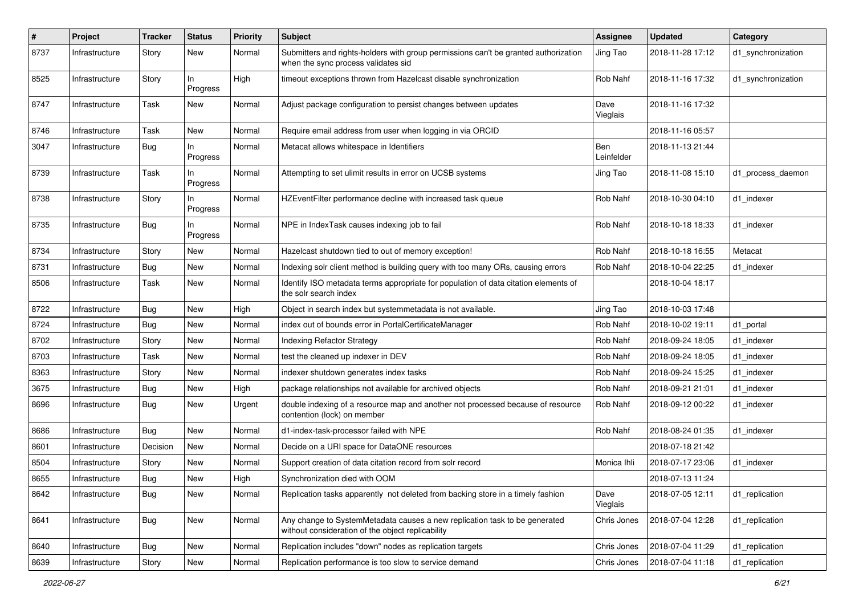| $\pmb{\#}$ | Project        | <b>Tracker</b> | <b>Status</b>   | <b>Priority</b> | Subject                                                                                                                         | <b>Assignee</b>   | <b>Updated</b>   | Category           |
|------------|----------------|----------------|-----------------|-----------------|---------------------------------------------------------------------------------------------------------------------------------|-------------------|------------------|--------------------|
| 8737       | Infrastructure | Story          | New             | Normal          | Submitters and rights-holders with group permissions can't be granted authorization<br>when the sync process validates sid      | Jing Tao          | 2018-11-28 17:12 | d1_synchronization |
| 8525       | Infrastructure | Story          | In<br>Progress  | High            | timeout exceptions thrown from Hazelcast disable synchronization                                                                | Rob Nahf          | 2018-11-16 17:32 | d1_synchronization |
| 8747       | Infrastructure | Task           | <b>New</b>      | Normal          | Adjust package configuration to persist changes between updates                                                                 | Dave<br>Vieglais  | 2018-11-16 17:32 |                    |
| 8746       | Infrastructure | Task           | <b>New</b>      | Normal          | Require email address from user when logging in via ORCID                                                                       |                   | 2018-11-16 05:57 |                    |
| 3047       | Infrastructure | Bug            | In.<br>Progress | Normal          | Metacat allows whitespace in Identifiers                                                                                        | Ben<br>Leinfelder | 2018-11-13 21:44 |                    |
| 8739       | Infrastructure | Task           | ln.<br>Progress | Normal          | Attempting to set ulimit results in error on UCSB systems                                                                       | Jing Tao          | 2018-11-08 15:10 | d1 process daemon  |
| 8738       | Infrastructure | Story          | In.<br>Progress | Normal          | HZEventFilter performance decline with increased task queue                                                                     | Rob Nahf          | 2018-10-30 04:10 | d1_indexer         |
| 8735       | Infrastructure | Bug            | In<br>Progress  | Normal          | NPE in IndexTask causes indexing job to fail                                                                                    | Rob Nahf          | 2018-10-18 18:33 | d1_indexer         |
| 8734       | Infrastructure | Story          | <b>New</b>      | Normal          | Hazelcast shutdown tied to out of memory exception!                                                                             | Rob Nahf          | 2018-10-18 16:55 | Metacat            |
| 8731       | Infrastructure | <b>Bug</b>     | New             | Normal          | Indexing solr client method is building query with too many ORs, causing errors                                                 | Rob Nahf          | 2018-10-04 22:25 | d1 indexer         |
| 8506       | Infrastructure | Task           | New             | Normal          | Identify ISO metadata terms appropriate for population of data citation elements of<br>the solr search index                    |                   | 2018-10-04 18:17 |                    |
| 8722       | Infrastructure | Bug            | <b>New</b>      | High            | Object in search index but systemmetadata is not available.                                                                     | Jing Tao          | 2018-10-03 17:48 |                    |
| 8724       | Infrastructure | Bug            | <b>New</b>      | Normal          | index out of bounds error in PortalCertificateManager                                                                           | Rob Nahf          | 2018-10-02 19:11 | d1_portal          |
| 8702       | Infrastructure | Story          | New             | Normal          | Indexing Refactor Strategy                                                                                                      | Rob Nahf          | 2018-09-24 18:05 | d1 indexer         |
| 8703       | Infrastructure | Task           | <b>New</b>      | Normal          | test the cleaned up indexer in DEV                                                                                              | Rob Nahf          | 2018-09-24 18:05 | d1_indexer         |
| 8363       | Infrastructure | Story          | New             | Normal          | indexer shutdown generates index tasks                                                                                          | Rob Nahf          | 2018-09-24 15:25 | d1 indexer         |
| 3675       | Infrastructure | <b>Bug</b>     | New             | High            | package relationships not available for archived objects                                                                        | Rob Nahf          | 2018-09-21 21:01 | d1_indexer         |
| 8696       | Infrastructure | Bug            | New             | Urgent          | double indexing of a resource map and another not processed because of resource<br>contention (lock) on member                  | Rob Nahf          | 2018-09-12 00:22 | d1_indexer         |
| 8686       | Infrastructure | Bug            | New             | Normal          | d1-index-task-processor failed with NPE                                                                                         | Rob Nahf          | 2018-08-24 01:35 | d1 indexer         |
| 8601       | Infrastructure | Decision       | New             | Normal          | Decide on a URI space for DataONE resources                                                                                     |                   | 2018-07-18 21:42 |                    |
| 8504       | Infrastructure | Story          | New             | Normal          | Support creation of data citation record from solr record                                                                       | Monica Ihli       | 2018-07-17 23:06 | d1 indexer         |
| 8655       | Infrastructure | Bug            | New             | High            | Synchronization died with OOM                                                                                                   |                   | 2018-07-13 11:24 |                    |
| 8642       | Infrastructure | <b>Bug</b>     | New             | Normal          | Replication tasks apparently not deleted from backing store in a timely fashion                                                 | Dave<br>Vieglais  | 2018-07-05 12:11 | d1_replication     |
| 8641       | Infrastructure | <b>Bug</b>     | New             | Normal          | Any change to SystemMetadata causes a new replication task to be generated<br>without consideration of the object replicability | Chris Jones       | 2018-07-04 12:28 | d1_replication     |
| 8640       | Infrastructure | Bug            | New             | Normal          | Replication includes "down" nodes as replication targets                                                                        | Chris Jones       | 2018-07-04 11:29 | d1_replication     |
| 8639       | Infrastructure | Story          | New             | Normal          | Replication performance is too slow to service demand                                                                           | Chris Jones       | 2018-07-04 11:18 | d1_replication     |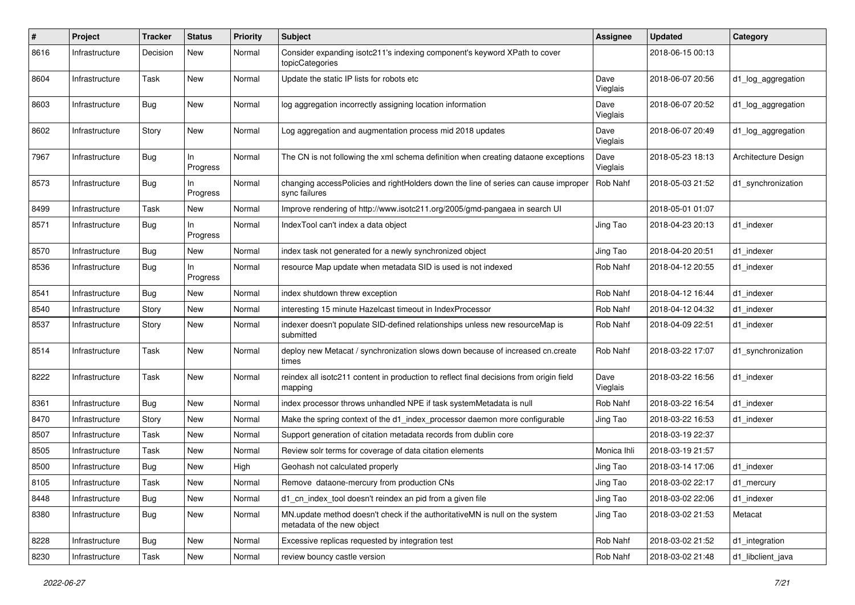| $\pmb{\#}$ | Project        | <b>Tracker</b> | <b>Status</b>  | <b>Priority</b> | <b>Subject</b>                                                                                            | <b>Assignee</b>  | <b>Updated</b>   | Category            |
|------------|----------------|----------------|----------------|-----------------|-----------------------------------------------------------------------------------------------------------|------------------|------------------|---------------------|
| 8616       | Infrastructure | Decision       | New            | Normal          | Consider expanding isotc211's indexing component's keyword XPath to cover<br>topicCategories              |                  | 2018-06-15 00:13 |                     |
| 8604       | Infrastructure | Task           | New            | Normal          | Update the static IP lists for robots etc                                                                 | Dave<br>Vieglais | 2018-06-07 20:56 | d1_log_aggregation  |
| 8603       | Infrastructure | Bug            | <b>New</b>     | Normal          | log aggregation incorrectly assigning location information                                                | Dave<br>Vieglais | 2018-06-07 20:52 | d1_log_aggregation  |
| 8602       | Infrastructure | Story          | <b>New</b>     | Normal          | Log aggregation and augmentation process mid 2018 updates                                                 | Dave<br>Vieglais | 2018-06-07 20:49 | d1_log_aggregation  |
| 7967       | Infrastructure | Bug            | In<br>Progress | Normal          | The CN is not following the xml schema definition when creating dataone exceptions                        | Dave<br>Vieglais | 2018-05-23 18:13 | Architecture Design |
| 8573       | Infrastructure | Bug            | In<br>Progress | Normal          | changing accessPolicies and rightHolders down the line of series can cause improper<br>sync failures      | Rob Nahf         | 2018-05-03 21:52 | d1_synchronization  |
| 8499       | Infrastructure | Task           | <b>New</b>     | Normal          | Improve rendering of http://www.isotc211.org/2005/gmd-pangaea in search UI                                |                  | 2018-05-01 01:07 |                     |
| 8571       | Infrastructure | <b>Bug</b>     | In<br>Progress | Normal          | IndexTool can't index a data object                                                                       | Jing Tao         | 2018-04-23 20:13 | d1_indexer          |
| 8570       | Infrastructure | Bug            | <b>New</b>     | Normal          | index task not generated for a newly synchronized object                                                  | Jing Tao         | 2018-04-20 20:51 | d1 indexer          |
| 8536       | Infrastructure | Bug            | In<br>Progress | Normal          | resource Map update when metadata SID is used is not indexed                                              | Rob Nahf         | 2018-04-12 20:55 | d1 indexer          |
| 8541       | Infrastructure | Bug            | <b>New</b>     | Normal          | index shutdown threw exception                                                                            | Rob Nahf         | 2018-04-12 16:44 | d1 indexer          |
| 8540       | Infrastructure | Story          | <b>New</b>     | Normal          | interesting 15 minute Hazelcast timeout in IndexProcessor                                                 | Rob Nahf         | 2018-04-12 04:32 | d1 indexer          |
| 8537       | Infrastructure | Story          | <b>New</b>     | Normal          | indexer doesn't populate SID-defined relationships unless new resourceMap is<br>submitted                 | Rob Nahf         | 2018-04-09 22:51 | d1 indexer          |
| 8514       | Infrastructure | Task           | <b>New</b>     | Normal          | deploy new Metacat / synchronization slows down because of increased cn.create<br>times                   | Rob Nahf         | 2018-03-22 17:07 | d1_synchronization  |
| 8222       | Infrastructure | Task           | New            | Normal          | reindex all isotc211 content in production to reflect final decisions from origin field<br>mapping        | Dave<br>Vieglais | 2018-03-22 16:56 | d1_indexer          |
| 8361       | Infrastructure | Bug            | <b>New</b>     | Normal          | index processor throws unhandled NPE if task systemMetadata is null                                       | Rob Nahf         | 2018-03-22 16:54 | d1 indexer          |
| 8470       | Infrastructure | Story          | <b>New</b>     | Normal          | Make the spring context of the d1_index_processor daemon more configurable                                | Jing Tao         | 2018-03-22 16:53 | d1 indexer          |
| 8507       | Infrastructure | Task           | <b>New</b>     | Normal          | Support generation of citation metadata records from dublin core                                          |                  | 2018-03-19 22:37 |                     |
| 8505       | Infrastructure | Task           | New            | Normal          | Review solr terms for coverage of data citation elements                                                  | Monica Ihli      | 2018-03-19 21:57 |                     |
| 8500       | Infrastructure | Bug            | <b>New</b>     | High            | Geohash not calculated properly                                                                           | Jing Tao         | 2018-03-14 17:06 | d1 indexer          |
| 8105       | Infrastructure | Task           | New            | Normal          | Remove dataone-mercury from production CNs                                                                | Jing Tao         | 2018-03-02 22:17 | d1_mercury          |
| 8448       | Infrastructure | <b>Bug</b>     | New            | Normal          | d1_cn_index_tool doesn't reindex an pid from a given file                                                 | Jing Tao         | 2018-03-02 22:06 | d1 indexer          |
| 8380       | Infrastructure | <b>Bug</b>     | New            | Normal          | MN.update method doesn't check if the authoritativeMN is null on the system<br>metadata of the new object | Jing Tao         | 2018-03-02 21:53 | Metacat             |
| 8228       | Infrastructure | Bug            | New            | Normal          | Excessive replicas requested by integration test                                                          | Rob Nahf         | 2018-03-02 21:52 | d1_integration      |
| 8230       | Infrastructure | Task           | New            | Normal          | review bouncy castle version                                                                              | Rob Nahf         | 2018-03-02 21:48 | d1_libclient_java   |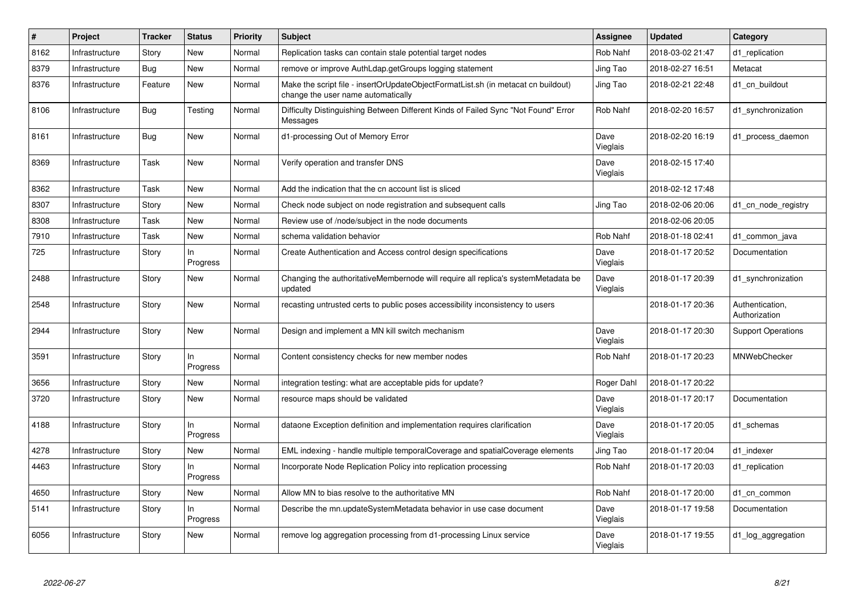| #    | Project        | <b>Tracker</b> | <b>Status</b>  | Priority | <b>Subject</b>                                                                                                          | Assignee         | <b>Updated</b>   | Category                         |
|------|----------------|----------------|----------------|----------|-------------------------------------------------------------------------------------------------------------------------|------------------|------------------|----------------------------------|
| 8162 | Infrastructure | Story          | <b>New</b>     | Normal   | Replication tasks can contain stale potential target nodes                                                              | Rob Nahf         | 2018-03-02 21:47 | d1_replication                   |
| 8379 | Infrastructure | Bug            | <b>New</b>     | Normal   | remove or improve AuthLdap.getGroups logging statement                                                                  | Jing Tao         | 2018-02-27 16:51 | Metacat                          |
| 8376 | Infrastructure | Feature        | <b>New</b>     | Normal   | Make the script file - insertOrUpdateObjectFormatList.sh (in metacat cn buildout)<br>change the user name automatically | Jing Tao         | 2018-02-21 22:48 | d1 cn buildout                   |
| 8106 | Infrastructure | <b>Bug</b>     | Testing        | Normal   | Difficulty Distinguishing Between Different Kinds of Failed Sync "Not Found" Error<br>Messages                          | Rob Nahf         | 2018-02-20 16:57 | d1 synchronization               |
| 8161 | Infrastructure | Bug            | <b>New</b>     | Normal   | d1-processing Out of Memory Error                                                                                       | Dave<br>Vieglais | 2018-02-20 16:19 | d1_process_daemon                |
| 8369 | Infrastructure | Task           | <b>New</b>     | Normal   | Verify operation and transfer DNS                                                                                       | Dave<br>Vieglais | 2018-02-15 17:40 |                                  |
| 8362 | Infrastructure | Task           | <b>New</b>     | Normal   | Add the indication that the cn account list is sliced                                                                   |                  | 2018-02-12 17:48 |                                  |
| 8307 | Infrastructure | Story          | <b>New</b>     | Normal   | Check node subject on node registration and subsequent calls                                                            | Jing Tao         | 2018-02-06 20:06 | d1 cn node registry              |
| 8308 | Infrastructure | Task           | <b>New</b>     | Normal   | Review use of /node/subject in the node documents                                                                       |                  | 2018-02-06 20:05 |                                  |
| 7910 | Infrastructure | Task           | <b>New</b>     | Normal   | schema validation behavior                                                                                              | Rob Nahf         | 2018-01-18 02:41 | d1 common java                   |
| 725  | Infrastructure | Story          | In<br>Progress | Normal   | Create Authentication and Access control design specifications                                                          | Dave<br>Vieglais | 2018-01-17 20:52 | Documentation                    |
| 2488 | Infrastructure | Story          | <b>New</b>     | Normal   | Changing the authoritativeMembernode will require all replica's systemMetadata be<br>updated                            | Dave<br>Vieglais | 2018-01-17 20:39 | d1 synchronization               |
| 2548 | Infrastructure | Story          | <b>New</b>     | Normal   | recasting untrusted certs to public poses accessibility inconsistency to users                                          |                  | 2018-01-17 20:36 | Authentication,<br>Authorization |
| 2944 | Infrastructure | Story          | New            | Normal   | Design and implement a MN kill switch mechanism                                                                         | Dave<br>Vieglais | 2018-01-17 20:30 | <b>Support Operations</b>        |
| 3591 | Infrastructure | Story          | ln<br>Progress | Normal   | Content consistency checks for new member nodes                                                                         | Rob Nahf         | 2018-01-17 20:23 | MNWebChecker                     |
| 3656 | Infrastructure | Story          | <b>New</b>     | Normal   | integration testing: what are acceptable pids for update?                                                               | Roger Dahl       | 2018-01-17 20:22 |                                  |
| 3720 | Infrastructure | Story          | <b>New</b>     | Normal   | resource maps should be validated                                                                                       | Dave<br>Vieglais | 2018-01-17 20:17 | Documentation                    |
| 4188 | Infrastructure | Story          | ln<br>Progress | Normal   | dataone Exception definition and implementation requires clarification                                                  | Dave<br>Vieglais | 2018-01-17 20:05 | d1 schemas                       |
| 4278 | Infrastructure | Story          | New            | Normal   | EML indexing - handle multiple temporalCoverage and spatialCoverage elements                                            | Jing Tao         | 2018-01-17 20:04 | d1 indexer                       |
| 4463 | Infrastructure | Story          | In<br>Progress | Normal   | Incorporate Node Replication Policy into replication processing                                                         | Rob Nahf         | 2018-01-17 20:03 | d1 replication                   |
| 4650 | Infrastructure | Story          | <b>New</b>     | Normal   | Allow MN to bias resolve to the authoritative MN                                                                        | Rob Nahf         | 2018-01-17 20:00 | d1 cn common                     |
| 5141 | Infrastructure | Story          | ln<br>Progress | Normal   | Describe the mn.updateSystemMetadata behavior in use case document                                                      | Dave<br>Vieglais | 2018-01-17 19:58 | Documentation                    |
| 6056 | Infrastructure | Story          | <b>New</b>     | Normal   | remove log aggregation processing from d1-processing Linux service                                                      | Dave<br>Vieglais | 2018-01-17 19:55 | d1 log aggregation               |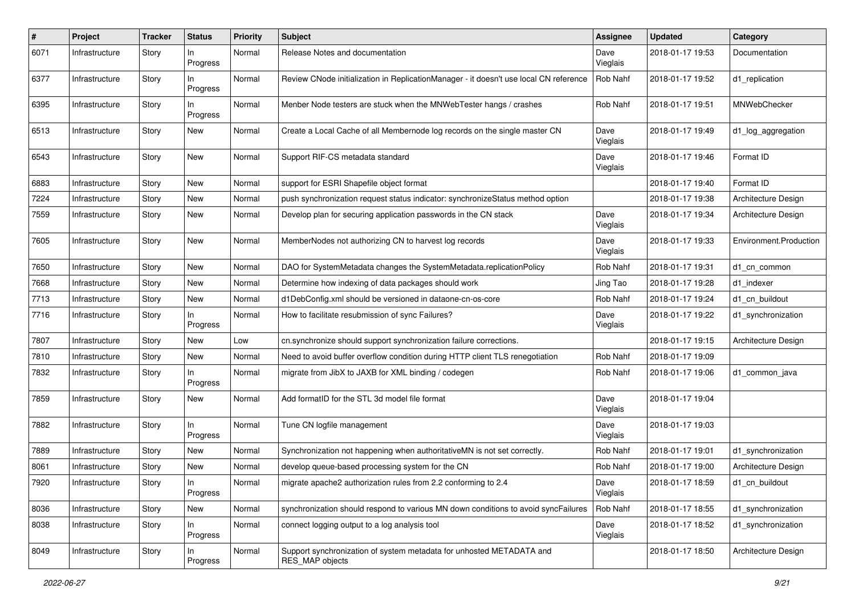| #    | Project        | <b>Tracker</b> | <b>Status</b>   | <b>Priority</b> | <b>Subject</b>                                                                          | <b>Assignee</b>  | <b>Updated</b>   | Category               |
|------|----------------|----------------|-----------------|-----------------|-----------------------------------------------------------------------------------------|------------------|------------------|------------------------|
| 6071 | Infrastructure | Story          | ln<br>Progress  | Normal          | Release Notes and documentation                                                         | Dave<br>Vieglais | 2018-01-17 19:53 | Documentation          |
| 6377 | Infrastructure | Story          | In<br>Progress  | Normal          | Review CNode initialization in ReplicationManager - it doesn't use local CN reference   | Rob Nahf         | 2018-01-17 19:52 | d1_replication         |
| 6395 | Infrastructure | Story          | In.<br>Progress | Normal          | Menber Node testers are stuck when the MNWebTester hangs / crashes                      | Rob Nahf         | 2018-01-17 19:51 | MNWebChecker           |
| 6513 | Infrastructure | Story          | New             | Normal          | Create a Local Cache of all Membernode log records on the single master CN              | Dave<br>Vieglais | 2018-01-17 19:49 | d1_log_aggregation     |
| 6543 | Infrastructure | Story          | New             | Normal          | Support RIF-CS metadata standard                                                        | Dave<br>Vieglais | 2018-01-17 19:46 | Format ID              |
| 6883 | Infrastructure | Story          | New             | Normal          | support for ESRI Shapefile object format                                                |                  | 2018-01-17 19:40 | Format ID              |
| 7224 | Infrastructure | Story          | New             | Normal          | push synchronization request status indicator: synchronizeStatus method option          |                  | 2018-01-17 19:38 | Architecture Design    |
| 7559 | Infrastructure | Story          | New             | Normal          | Develop plan for securing application passwords in the CN stack                         | Dave<br>Vieglais | 2018-01-17 19:34 | Architecture Design    |
| 7605 | Infrastructure | Story          | New             | Normal          | MemberNodes not authorizing CN to harvest log records                                   | Dave<br>Vieglais | 2018-01-17 19:33 | Environment.Production |
| 7650 | Infrastructure | Story          | New             | Normal          | DAO for SystemMetadata changes the SystemMetadata.replicationPolicy                     | Rob Nahf         | 2018-01-17 19:31 | d1 cn common           |
| 7668 | Infrastructure | Story          | <b>New</b>      | Normal          | Determine how indexing of data packages should work                                     | Jing Tao         | 2018-01-17 19:28 | d1 indexer             |
| 7713 | Infrastructure | Story          | New             | Normal          | d1DebConfig.xml should be versioned in dataone-cn-os-core                               | <b>Rob Nahf</b>  | 2018-01-17 19:24 | d1 cn buildout         |
| 7716 | Infrastructure | Story          | In<br>Progress  | Normal          | How to facilitate resubmission of sync Failures?                                        | Dave<br>Vieglais | 2018-01-17 19:22 | d1_synchronization     |
| 7807 | Infrastructure | Story          | New             | Low             | cn.synchronize should support synchronization failure corrections.                      |                  | 2018-01-17 19:15 | Architecture Design    |
| 7810 | Infrastructure | Story          | New             | Normal          | Need to avoid buffer overflow condition during HTTP client TLS renegotiation            | Rob Nahf         | 2018-01-17 19:09 |                        |
| 7832 | Infrastructure | Story          | In<br>Progress  | Normal          | migrate from JibX to JAXB for XML binding / codegen                                     | Rob Nahf         | 2018-01-17 19:06 | d1_common_java         |
| 7859 | Infrastructure | Story          | New             | Normal          | Add formatID for the STL 3d model file format                                           | Dave<br>Vieglais | 2018-01-17 19:04 |                        |
| 7882 | Infrastructure | Story          | In.<br>Progress | Normal          | Tune CN logfile management                                                              | Dave<br>Vieglais | 2018-01-17 19:03 |                        |
| 7889 | Infrastructure | Story          | New             | Normal          | Synchronization not happening when authoritative MN is not set correctly.               | Rob Nahf         | 2018-01-17 19:01 | d1 synchronization     |
| 8061 | Infrastructure | Story          | New             | Normal          | develop queue-based processing system for the CN                                        | Rob Nahf         | 2018-01-17 19:00 | Architecture Design    |
| 7920 | Infrastructure | Story          | ln<br>Progress  | Normal          | migrate apache2 authorization rules from 2.2 conforming to 2.4                          | Dave<br>Vieglais | 2018-01-17 18:59 | d1_cn_buildout         |
| 8036 | Infrastructure | Story          | New             | Normal          | synchronization should respond to various MN down conditions to avoid syncFailures      | Rob Nahf         | 2018-01-17 18:55 | d1_synchronization     |
| 8038 | Infrastructure | Story          | In<br>Progress  | Normal          | connect logging output to a log analysis tool                                           | Dave<br>Vieglais | 2018-01-17 18:52 | d1_synchronization     |
| 8049 | Infrastructure | Story          | In<br>Progress  | Normal          | Support synchronization of system metadata for unhosted METADATA and<br>RES MAP objects |                  | 2018-01-17 18:50 | Architecture Design    |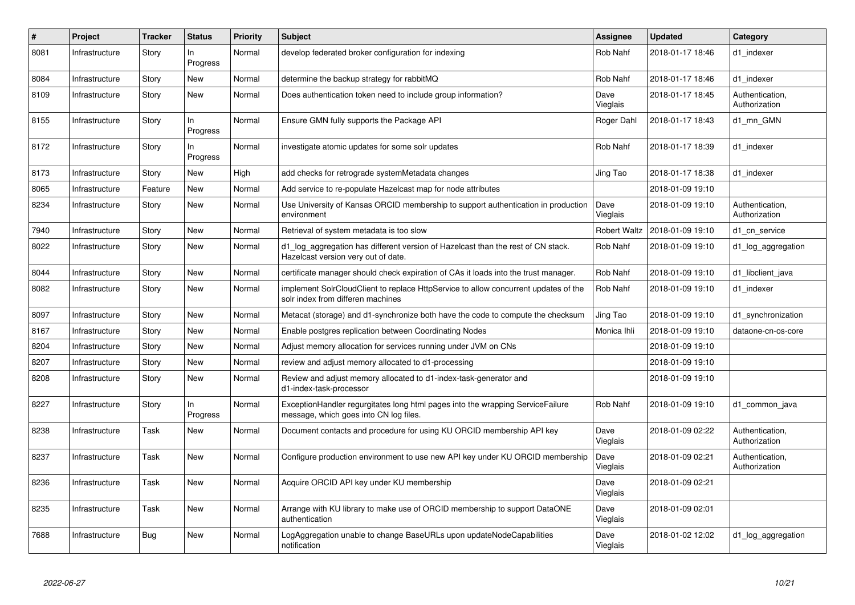| #    | Project        | <b>Tracker</b> | <b>Status</b>   | Priority | <b>Subject</b>                                                                                                           | Assignee            | <b>Updated</b>   | Category                         |
|------|----------------|----------------|-----------------|----------|--------------------------------------------------------------------------------------------------------------------------|---------------------|------------------|----------------------------------|
| 8081 | Infrastructure | Story          | In.<br>Progress | Normal   | develop federated broker configuration for indexing                                                                      | Rob Nahf            | 2018-01-17 18:46 | d1_indexer                       |
| 8084 | Infrastructure | Story          | <b>New</b>      | Normal   | determine the backup strategy for rabbitMQ                                                                               | Rob Nahf            | 2018-01-17 18:46 | d1 indexer                       |
| 8109 | Infrastructure | Story          | <b>New</b>      | Normal   | Does authentication token need to include group information?                                                             | Dave<br>Vieglais    | 2018-01-17 18:45 | Authentication,<br>Authorization |
| 8155 | Infrastructure | Story          | In.<br>Progress | Normal   | Ensure GMN fully supports the Package API                                                                                | Roger Dahl          | 2018-01-17 18:43 | d1 mn GMN                        |
| 8172 | Infrastructure | Story          | In<br>Progress  | Normal   | investigate atomic updates for some solr updates                                                                         | Rob Nahf            | 2018-01-17 18:39 | d1 indexer                       |
| 8173 | Infrastructure | Story          | <b>New</b>      | High     | add checks for retrograde systemMetadata changes                                                                         | Jing Tao            | 2018-01-17 18:38 | d1 indexer                       |
| 8065 | Infrastructure | Feature        | <b>New</b>      | Normal   | Add service to re-populate Hazelcast map for node attributes                                                             |                     | 2018-01-09 19:10 |                                  |
| 8234 | Infrastructure | Story          | <b>New</b>      | Normal   | Use University of Kansas ORCID membership to support authentication in production<br>environment                         | Dave<br>Vieglais    | 2018-01-09 19:10 | Authentication,<br>Authorization |
| 7940 | Infrastructure | Story          | <b>New</b>      | Normal   | Retrieval of system metadata is too slow                                                                                 | <b>Robert Waltz</b> | 2018-01-09 19:10 | d1 cn service                    |
| 8022 | Infrastructure | Story          | <b>New</b>      | Normal   | d1 log aggregation has different version of Hazelcast than the rest of CN stack.<br>Hazelcast version very out of date.  | Rob Nahf            | 2018-01-09 19:10 | d1 log aggregation               |
| 8044 | Infrastructure | Story          | <b>New</b>      | Normal   | certificate manager should check expiration of CAs it loads into the trust manager.                                      | Rob Nahf            | 2018-01-09 19:10 | d1 libclient java                |
| 8082 | Infrastructure | Story          | <b>New</b>      | Normal   | implement SolrCloudClient to replace HttpService to allow concurrent updates of the<br>solr index from differen machines | Rob Nahf            | 2018-01-09 19:10 | d1 indexer                       |
| 8097 | Infrastructure | Story          | <b>New</b>      | Normal   | Metacat (storage) and d1-synchronize both have the code to compute the checksum                                          | Jing Tao            | 2018-01-09 19:10 | d1_synchronization               |
| 8167 | Infrastructure | Story          | <b>New</b>      | Normal   | Enable postgres replication between Coordinating Nodes                                                                   | Monica Ihli         | 2018-01-09 19:10 | dataone-cn-os-core               |
| 8204 | Infrastructure | Story          | <b>New</b>      | Normal   | Adjust memory allocation for services running under JVM on CNs                                                           |                     | 2018-01-09 19:10 |                                  |
| 8207 | Infrastructure | Story          | <b>New</b>      | Normal   | review and adjust memory allocated to d1-processing                                                                      |                     | 2018-01-09 19:10 |                                  |
| 8208 | Infrastructure | Story          | <b>New</b>      | Normal   | Review and adjust memory allocated to d1-index-task-generator and<br>d1-index-task-processor                             |                     | 2018-01-09 19:10 |                                  |
| 8227 | Infrastructure | Story          | In<br>Progress  | Normal   | ExceptionHandler regurgitates long html pages into the wrapping ServiceFailure<br>message, which goes into CN log files. | Rob Nahf            | 2018-01-09 19:10 | d1 common java                   |
| 8238 | Infrastructure | Task           | <b>New</b>      | Normal   | Document contacts and procedure for using KU ORCID membership API key                                                    | Dave<br>Vieglais    | 2018-01-09 02:22 | Authentication,<br>Authorization |
| 8237 | Infrastructure | Task           | <b>New</b>      | Normal   | Configure production environment to use new API key under KU ORCID membership                                            | Dave<br>Vieglais    | 2018-01-09 02:21 | Authentication,<br>Authorization |
| 8236 | Infrastructure | Task           | <b>New</b>      | Normal   | Acquire ORCID API key under KU membership                                                                                | Dave<br>Vieglais    | 2018-01-09 02:21 |                                  |
| 8235 | Infrastructure | Task           | <b>New</b>      | Normal   | Arrange with KU library to make use of ORCID membership to support DataONE<br>authentication                             | Dave<br>Vieglais    | 2018-01-09 02:01 |                                  |
| 7688 | Infrastructure | <b>Bug</b>     | <b>New</b>      | Normal   | LogAggregation unable to change BaseURLs upon updateNodeCapabilities<br>notification                                     | Dave<br>Vieglais    | 2018-01-02 12:02 | d1_log_aggregation               |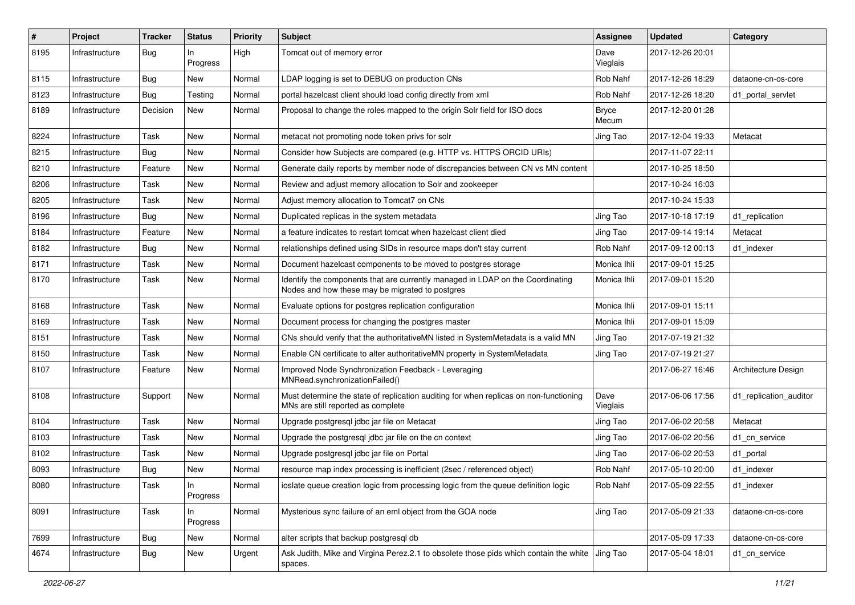| #    | Project        | <b>Tracker</b> | <b>Status</b>  | <b>Priority</b> | <b>Subject</b>                                                                                                                    | <b>Assignee</b>       | <b>Updated</b>   | Category               |
|------|----------------|----------------|----------------|-----------------|-----------------------------------------------------------------------------------------------------------------------------------|-----------------------|------------------|------------------------|
| 8195 | Infrastructure | Bug            | In<br>Progress | High            | Tomcat out of memory error                                                                                                        | Dave<br>Vieglais      | 2017-12-26 20:01 |                        |
| 8115 | Infrastructure | Bug            | New            | Normal          | LDAP logging is set to DEBUG on production CNs                                                                                    | Rob Nahf              | 2017-12-26 18:29 | dataone-cn-os-core     |
| 8123 | Infrastructure | Bug            | Testing        | Normal          | portal hazelcast client should load config directly from xml                                                                      | Rob Nahf              | 2017-12-26 18:20 | d1 portal servlet      |
| 8189 | Infrastructure | Decision       | <b>New</b>     | Normal          | Proposal to change the roles mapped to the origin Solr field for ISO docs                                                         | <b>Bryce</b><br>Mecum | 2017-12-20 01:28 |                        |
| 8224 | Infrastructure | Task           | <b>New</b>     | Normal          | metacat not promoting node token privs for solr                                                                                   | Jing Tao              | 2017-12-04 19:33 | Metacat                |
| 8215 | Infrastructure | Bug            | New            | Normal          | Consider how Subjects are compared (e.g. HTTP vs. HTTPS ORCID URIs)                                                               |                       | 2017-11-07 22:11 |                        |
| 8210 | Infrastructure | Feature        | New            | Normal          | Generate daily reports by member node of discrepancies between CN vs MN content                                                   |                       | 2017-10-25 18:50 |                        |
| 8206 | Infrastructure | Task           | <b>New</b>     | Normal          | Review and adjust memory allocation to Solr and zookeeper                                                                         |                       | 2017-10-24 16:03 |                        |
| 8205 | Infrastructure | Task           | <b>New</b>     | Normal          | Adjust memory allocation to Tomcat7 on CNs                                                                                        |                       | 2017-10-24 15:33 |                        |
| 8196 | Infrastructure | Bug            | New            | Normal          | Duplicated replicas in the system metadata                                                                                        | Jing Tao              | 2017-10-18 17:19 | d1_replication         |
| 8184 | Infrastructure | Feature        | New            | Normal          | a feature indicates to restart tomcat when hazelcast client died                                                                  | Jing Tao              | 2017-09-14 19:14 | Metacat                |
| 8182 | Infrastructure | Bug            | New            | Normal          | relationships defined using SIDs in resource maps don't stay current                                                              | Rob Nahf              | 2017-09-12 00:13 | d1 indexer             |
| 8171 | Infrastructure | Task           | <b>New</b>     | Normal          | Document hazelcast components to be moved to postgres storage                                                                     | Monica Ihli           | 2017-09-01 15:25 |                        |
| 8170 | Infrastructure | Task           | <b>New</b>     | Normal          | Identify the components that are currently managed in LDAP on the Coordinating<br>Nodes and how these may be migrated to postgres | Monica Ihli           | 2017-09-01 15:20 |                        |
| 8168 | Infrastructure | Task           | <b>New</b>     | Normal          | Evaluate options for postgres replication configuration                                                                           | Monica Ihli           | 2017-09-01 15:11 |                        |
| 8169 | Infrastructure | Task           | New            | Normal          | Document process for changing the postgres master                                                                                 | Monica Ihli           | 2017-09-01 15:09 |                        |
| 8151 | Infrastructure | Task           | New            | Normal          | CNs should verify that the authoritativeMN listed in SystemMetadata is a valid MN                                                 | Jing Tao              | 2017-07-19 21:32 |                        |
| 8150 | Infrastructure | Task           | New            | Normal          | Enable CN certificate to alter authoritativeMN property in SystemMetadata                                                         | Jing Tao              | 2017-07-19 21:27 |                        |
| 8107 | Infrastructure | Feature        | New            | Normal          | Improved Node Synchronization Feedback - Leveraging<br>MNRead.synchronizationFailed()                                             |                       | 2017-06-27 16:46 | Architecture Design    |
| 8108 | Infrastructure | Support        | New            | Normal          | Must determine the state of replication auditing for when replicas on non-functioning<br>MNs are still reported as complete       | Dave<br>Vieglais      | 2017-06-06 17:56 | d1_replication_auditor |
| 8104 | Infrastructure | Task           | <b>New</b>     | Normal          | Upgrade postgresql jdbc jar file on Metacat                                                                                       | Jing Tao              | 2017-06-02 20:58 | Metacat                |
| 8103 | Infrastructure | Task           | New            | Normal          | Upgrade the postgresql jdbc jar file on the cn context                                                                            | Jing Tao              | 2017-06-02 20:56 | d1 cn service          |
| 8102 | Infrastructure | Task           | <b>New</b>     | Normal          | Upgrade postgresql jdbc jar file on Portal                                                                                        | Jing Tao              | 2017-06-02 20:53 | d1_portal              |
| 8093 | Infrastructure | <b>Bug</b>     | New            | Normal          | resource map index processing is inefficient (2sec / referenced object)                                                           | Rob Nahf              | 2017-05-10 20:00 | d1_indexer             |
| 8080 | Infrastructure | Task           | In<br>Progress | Normal          | ioslate queue creation logic from processing logic from the queue definition logic                                                | Rob Nahf              | 2017-05-09 22:55 | d1_indexer             |
| 8091 | Infrastructure | Task           | In<br>Progress | Normal          | Mysterious sync failure of an eml object from the GOA node                                                                        | Jing Tao              | 2017-05-09 21:33 | dataone-cn-os-core     |
| 7699 | Infrastructure | <b>Bug</b>     | New            | Normal          | alter scripts that backup postgresql db                                                                                           |                       | 2017-05-09 17:33 | dataone-cn-os-core     |
| 4674 | Infrastructure | Bug            | New            | Urgent          | Ask Judith, Mike and Virgina Perez.2.1 to obsolete those pids which contain the white Jing Tao<br>spaces.                         |                       | 2017-05-04 18:01 | d1_cn_service          |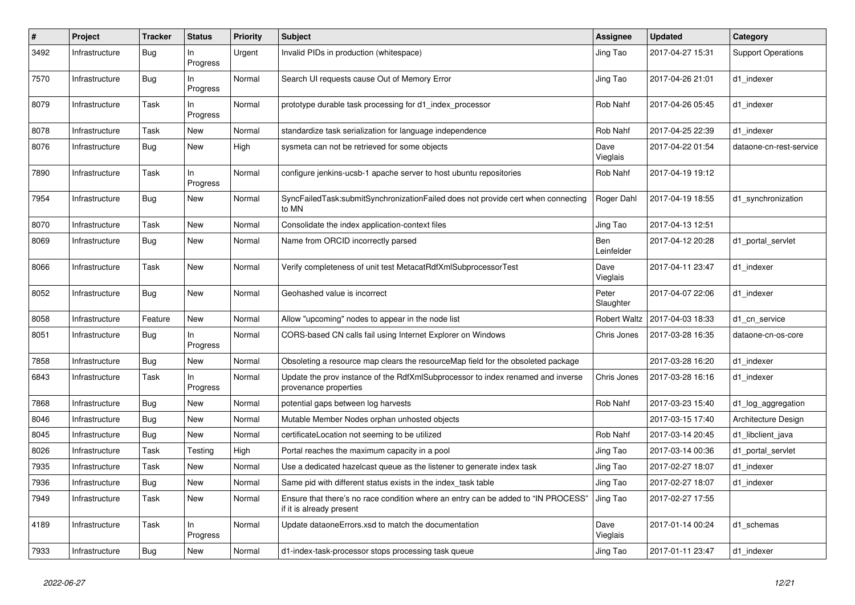| $\#$ | Project        | <b>Tracker</b> | <b>Status</b>  | <b>Priority</b> | <b>Subject</b>                                                                                                | Assignee            | <b>Updated</b>   | Category                  |
|------|----------------|----------------|----------------|-----------------|---------------------------------------------------------------------------------------------------------------|---------------------|------------------|---------------------------|
| 3492 | Infrastructure | Bug            | In<br>Progress | Urgent          | Invalid PIDs in production (whitespace)                                                                       | Jing Tao            | 2017-04-27 15:31 | <b>Support Operations</b> |
| 7570 | Infrastructure | Bug            | ln<br>Progress | Normal          | Search UI requests cause Out of Memory Error                                                                  | Jing Tao            | 2017-04-26 21:01 | d1 indexer                |
| 8079 | Infrastructure | Task           | In<br>Progress | Normal          | prototype durable task processing for d1 index processor                                                      | Rob Nahf            | 2017-04-26 05:45 | d1_indexer                |
| 8078 | Infrastructure | Task           | <b>New</b>     | Normal          | standardize task serialization for language independence                                                      | Rob Nahf            | 2017-04-25 22:39 | d1_indexer                |
| 8076 | Infrastructure | <b>Bug</b>     | New            | High            | sysmeta can not be retrieved for some objects                                                                 | Dave<br>Vieglais    | 2017-04-22 01:54 | dataone-cn-rest-service   |
| 7890 | Infrastructure | Task           | ln<br>Progress | Normal          | configure jenkins-ucsb-1 apache server to host ubuntu repositories                                            | Rob Nahf            | 2017-04-19 19:12 |                           |
| 7954 | Infrastructure | <b>Bug</b>     | <b>New</b>     | Normal          | SyncFailedTask:submitSynchronizationFailed does not provide cert when connecting<br>to MN                     | Roger Dahl          | 2017-04-19 18:55 | d1_synchronization        |
| 8070 | Infrastructure | Task           | <b>New</b>     | Normal          | Consolidate the index application-context files                                                               | Jing Tao            | 2017-04-13 12:51 |                           |
| 8069 | Infrastructure | <b>Bug</b>     | New            | Normal          | Name from ORCID incorrectly parsed                                                                            | Ben<br>Leinfelder   | 2017-04-12 20:28 | d1 portal servlet         |
| 8066 | Infrastructure | Task           | New            | Normal          | Verify completeness of unit test MetacatRdfXmlSubprocessorTest                                                | Dave<br>Vieglais    | 2017-04-11 23:47 | d1 indexer                |
| 8052 | Infrastructure | Bug            | <b>New</b>     | Normal          | Geohashed value is incorrect                                                                                  | Peter<br>Slaughter  | 2017-04-07 22:06 | d1_indexer                |
| 8058 | Infrastructure | Feature        | <b>New</b>     | Normal          | Allow "upcoming" nodes to appear in the node list                                                             | <b>Robert Waltz</b> | 2017-04-03 18:33 | d1 cn service             |
| 8051 | Infrastructure | Bug            | In<br>Progress | Normal          | CORS-based CN calls fail using Internet Explorer on Windows                                                   | Chris Jones         | 2017-03-28 16:35 | dataone-cn-os-core        |
| 7858 | Infrastructure | Bug            | New            | Normal          | Obsoleting a resource map clears the resourceMap field for the obsoleted package                              |                     | 2017-03-28 16:20 | d1 indexer                |
| 6843 | Infrastructure | Task           | In<br>Progress | Normal          | Update the prov instance of the RdfXmlSubprocessor to index renamed and inverse<br>provenance properties      | Chris Jones         | 2017-03-28 16:16 | d1 indexer                |
| 7868 | Infrastructure | Bug            | <b>New</b>     | Normal          | potential gaps between log harvests                                                                           | Rob Nahf            | 2017-03-23 15:40 | d1_log_aggregation        |
| 8046 | Infrastructure | Bug            | <b>New</b>     | Normal          | Mutable Member Nodes orphan unhosted objects                                                                  |                     | 2017-03-15 17:40 | Architecture Design       |
| 8045 | Infrastructure | Bug            | <b>New</b>     | Normal          | certificateLocation not seeming to be utilized                                                                | Rob Nahf            | 2017-03-14 20:45 | d1_libclient_java         |
| 8026 | Infrastructure | Task           | Testing        | High            | Portal reaches the maximum capacity in a pool                                                                 | Jing Tao            | 2017-03-14 00:36 | d1_portal_servlet         |
| 7935 | Infrastructure | Task           | <b>New</b>     | Normal          | Use a dedicated hazelcast queue as the listener to generate index task                                        | Jing Tao            | 2017-02-27 18:07 | d1 indexer                |
| 7936 | Infrastructure | Bug            | New            | Normal          | Same pid with different status exists in the index_task table                                                 | Jing Tao            | 2017-02-27 18:07 | d1 indexer                |
| 7949 | Infrastructure | Task           | <b>New</b>     | Normal          | Ensure that there's no race condition where an entry can be added to "IN PROCESS"<br>if it is already present | Jing Tao            | 2017-02-27 17:55 |                           |
| 4189 | Infrastructure | Task           | ln<br>Progress | Normal          | Update dataoneErrors.xsd to match the documentation                                                           | Dave<br>Vieglais    | 2017-01-14 00:24 | d1_schemas                |
| 7933 | Infrastructure | Bug            | <b>New</b>     | Normal          | d1-index-task-processor stops processing task queue                                                           | Jing Tao            | 2017-01-11 23:47 | d1 indexer                |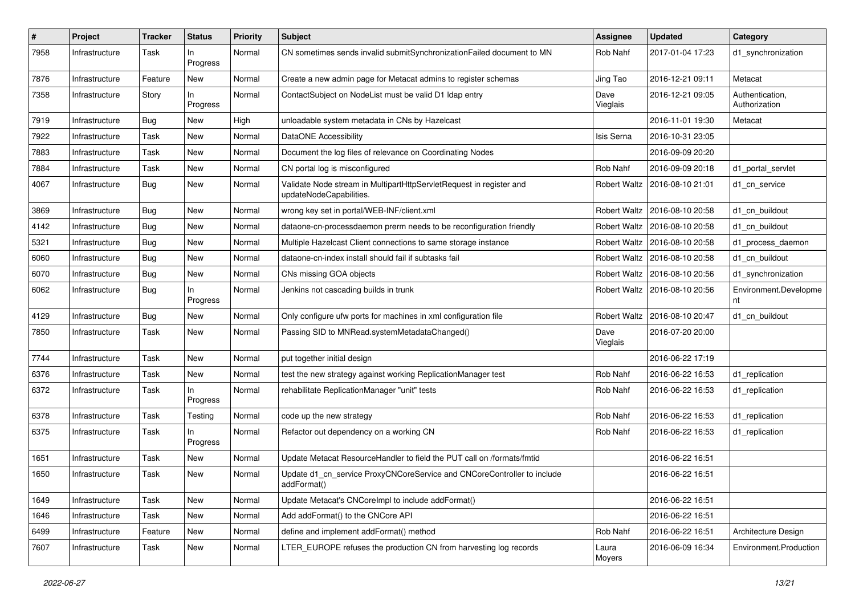| ∦    | Project        | <b>Tracker</b> | <b>Status</b>     | <b>Priority</b> | <b>Subject</b>                                                                                 | <b>Assignee</b>     | <b>Updated</b>   | Category                         |
|------|----------------|----------------|-------------------|-----------------|------------------------------------------------------------------------------------------------|---------------------|------------------|----------------------------------|
| 7958 | Infrastructure | Task           | In.<br>Progress   | Normal          | CN sometimes sends invalid submitSynchronizationFailed document to MN                          | Rob Nahf            | 2017-01-04 17:23 | d1_synchronization               |
| 7876 | Infrastructure | Feature        | <b>New</b>        | Normal          | Create a new admin page for Metacat admins to register schemas                                 | Jing Tao            | 2016-12-21 09:11 | Metacat                          |
| 7358 | Infrastructure | Story          | $\ln$<br>Progress | Normal          | ContactSubject on NodeList must be valid D1 Idap entry                                         | Dave<br>Vieglais    | 2016-12-21 09:05 | Authentication,<br>Authorization |
| 7919 | Infrastructure | Bug            | <b>New</b>        | High            | unloadable system metadata in CNs by Hazelcast                                                 |                     | 2016-11-01 19:30 | Metacat                          |
| 7922 | Infrastructure | Task           | <b>New</b>        | Normal          | DataONE Accessibility                                                                          | Isis Serna          | 2016-10-31 23:05 |                                  |
| 7883 | Infrastructure | Task           | <b>New</b>        | Normal          | Document the log files of relevance on Coordinating Nodes                                      |                     | 2016-09-09 20:20 |                                  |
| 7884 | Infrastructure | Task           | <b>New</b>        | Normal          | CN portal log is misconfigured                                                                 | Rob Nahf            | 2016-09-09 20:18 | d1 portal servlet                |
| 4067 | Infrastructure | Bug            | <b>New</b>        | Normal          | Validate Node stream in MultipartHttpServletRequest in register and<br>updateNodeCapabilities. | Robert Waltz        | 2016-08-10 21:01 | d1 cn service                    |
| 3869 | Infrastructure | Bug            | <b>New</b>        | Normal          | wrong key set in portal/WEB-INF/client.xml                                                     | <b>Robert Waltz</b> | 2016-08-10 20:58 | d1_cn_buildout                   |
| 4142 | Infrastructure | Bug            | <b>New</b>        | Normal          | dataone-cn-processdaemon prerm needs to be reconfiguration friendly                            | <b>Robert Waltz</b> | 2016-08-10 20:58 | d1 cn buildout                   |
| 5321 | Infrastructure | Bug            | <b>New</b>        | Normal          | Multiple Hazelcast Client connections to same storage instance                                 | Robert Waltz        | 2016-08-10 20:58 | d1 process daemon                |
| 6060 | Infrastructure | Bug            | New               | Normal          | dataone-cn-index install should fail if subtasks fail                                          | <b>Robert Waltz</b> | 2016-08-10 20:58 | d1 cn buildout                   |
| 6070 | Infrastructure | Bug            | <b>New</b>        | Normal          | CNs missing GOA objects                                                                        | <b>Robert Waltz</b> | 2016-08-10 20:56 | d1 synchronization               |
| 6062 | Infrastructure | Bug            | $\ln$<br>Progress | Normal          | Jenkins not cascading builds in trunk                                                          | <b>Robert Waltz</b> | 2016-08-10 20:56 | Environment.Developme<br>nt      |
| 4129 | Infrastructure | Bug            | <b>New</b>        | Normal          | Only configure ufw ports for machines in xml configuration file                                | Robert Waltz        | 2016-08-10 20:47 | d1_cn_buildout                   |
| 7850 | Infrastructure | Task           | <b>New</b>        | Normal          | Passing SID to MNRead.systemMetadataChanged()                                                  | Dave<br>Vieglais    | 2016-07-20 20:00 |                                  |
| 7744 | Infrastructure | Task           | <b>New</b>        | Normal          | put together initial design                                                                    |                     | 2016-06-22 17:19 |                                  |
| 6376 | Infrastructure | Task           | New               | Normal          | test the new strategy against working ReplicationManager test                                  | Rob Nahf            | 2016-06-22 16:53 | d1 replication                   |
| 6372 | Infrastructure | Task           | In<br>Progress    | Normal          | rehabilitate ReplicationManager "unit" tests                                                   | Rob Nahf            | 2016-06-22 16:53 | d1 replication                   |
| 6378 | Infrastructure | Task           | Testing           | Normal          | code up the new strategy                                                                       | Rob Nahf            | 2016-06-22 16:53 | d1_replication                   |
| 6375 | Infrastructure | Task           | In<br>Progress    | Normal          | Refactor out dependency on a working CN                                                        | Rob Nahf            | 2016-06-22 16:53 | d1_replication                   |
| 1651 | Infrastructure | Task           | <b>New</b>        | Normal          | Update Metacat ResourceHandler to field the PUT call on /formats/fmtid                         |                     | 2016-06-22 16:51 |                                  |
| 1650 | Infrastructure | Task           | New               | Normal          | Update d1_cn_service ProxyCNCoreService and CNCoreController to include<br>addFormat()         |                     | 2016-06-22 16:51 |                                  |
| 1649 | Infrastructure | Task           | New               | Normal          | Update Metacat's CNCorelmpl to include addFormat()                                             |                     | 2016-06-22 16:51 |                                  |
| 1646 | Infrastructure | Task           | New               | Normal          | Add addFormat() to the CNCore API                                                              |                     | 2016-06-22 16:51 |                                  |
| 6499 | Infrastructure | Feature        | <b>New</b>        | Normal          | define and implement addFormat() method                                                        | Rob Nahf            | 2016-06-22 16:51 | Architecture Design              |
| 7607 | Infrastructure | Task           | New               | Normal          | LTER EUROPE refuses the production CN from harvesting log records                              | Laura<br>Moyers     | 2016-06-09 16:34 | Environment.Production           |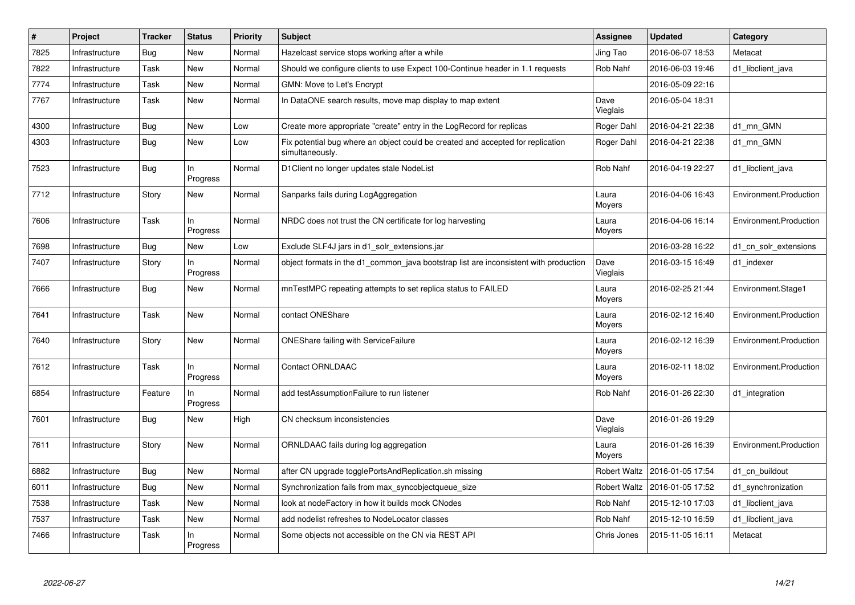| $\#$ | Project        | <b>Tracker</b> | <b>Status</b>     | Priority | <b>Subject</b>                                                                                     | Assignee            | <b>Updated</b>   | Category               |
|------|----------------|----------------|-------------------|----------|----------------------------------------------------------------------------------------------------|---------------------|------------------|------------------------|
| 7825 | Infrastructure | <b>Bug</b>     | New               | Normal   | Hazelcast service stops working after a while                                                      | Jing Tao            | 2016-06-07 18:53 | Metacat                |
| 7822 | Infrastructure | Task           | <b>New</b>        | Normal   | Should we configure clients to use Expect 100-Continue header in 1.1 requests                      | Rob Nahf            | 2016-06-03 19:46 | d1_libclient_java      |
| 7774 | Infrastructure | Task           | New               | Normal   | GMN: Move to Let's Encrypt                                                                         |                     | 2016-05-09 22:16 |                        |
| 7767 | Infrastructure | Task           | <b>New</b>        | Normal   | In DataONE search results, move map display to map extent                                          | Dave<br>Vieglais    | 2016-05-04 18:31 |                        |
| 4300 | Infrastructure | Bug            | New               | Low      | Create more appropriate "create" entry in the LogRecord for replicas                               | Roger Dahl          | 2016-04-21 22:38 | d1_mn_GMN              |
| 4303 | Infrastructure | Bug            | <b>New</b>        | Low      | Fix potential bug where an object could be created and accepted for replication<br>simultaneously. | Roger Dahl          | 2016-04-21 22:38 | d1 mn GMN              |
| 7523 | Infrastructure | Bug            | In<br>Progress    | Normal   | D1 Client no longer updates stale NodeList                                                         | Rob Nahf            | 2016-04-19 22:27 | d1 libclient java      |
| 7712 | Infrastructure | Story          | <b>New</b>        | Normal   | Sanparks fails during LogAggregation                                                               | Laura<br>Moyers     | 2016-04-06 16:43 | Environment.Production |
| 7606 | Infrastructure | Task           | ln.<br>Progress   | Normal   | NRDC does not trust the CN certificate for log harvesting                                          | Laura<br>Moyers     | 2016-04-06 16:14 | Environment.Production |
| 7698 | Infrastructure | Bug            | <b>New</b>        | Low      | Exclude SLF4J jars in d1_solr_extensions.jar                                                       |                     | 2016-03-28 16:22 | d1 cn solr extensions  |
| 7407 | Infrastructure | Story          | In<br>Progress    | Normal   | object formats in the d1 common java bootstrap list are inconsistent with production               | Dave<br>Vieglais    | 2016-03-15 16:49 | d1_indexer             |
| 7666 | Infrastructure | Bug            | New               | Normal   | mnTestMPC repeating attempts to set replica status to FAILED                                       | Laura<br>Moyers     | 2016-02-25 21:44 | Environment.Stage1     |
| 7641 | Infrastructure | Task           | New               | Normal   | contact ONEShare                                                                                   | Laura<br>Moyers     | 2016-02-12 16:40 | Environment.Production |
| 7640 | Infrastructure | Story          | <b>New</b>        | Normal   | <b>ONEShare failing with ServiceFailure</b>                                                        | Laura<br>Moyers     | 2016-02-12 16:39 | Environment.Production |
| 7612 | Infrastructure | Task           | In<br>Progress    | Normal   | Contact ORNLDAAC                                                                                   | Laura<br>Moyers     | 2016-02-11 18:02 | Environment.Production |
| 6854 | Infrastructure | Feature        | In<br>Progress    | Normal   | add testAssumptionFailure to run listener                                                          | Rob Nahf            | 2016-01-26 22:30 | d1 integration         |
| 7601 | Infrastructure | Bug            | <b>New</b>        | High     | CN checksum inconsistencies                                                                        | Dave<br>Vieglais    | 2016-01-26 19:29 |                        |
| 7611 | Infrastructure | Story          | New               | Normal   | ORNLDAAC fails during log aggregation                                                              | Laura<br>Moyers     | 2016-01-26 16:39 | Environment.Production |
| 6882 | Infrastructure | Bug            | New               | Normal   | after CN upgrade togglePortsAndReplication.sh missing                                              | Robert Waltz        | 2016-01-05 17:54 | d1_cn_buildout         |
| 6011 | Infrastructure | Bug            | New               | Normal   | Synchronization fails from max_syncobjectqueue_size                                                | <b>Robert Waltz</b> | 2016-01-05 17:52 | d1_synchronization     |
| 7538 | Infrastructure | Task           | <b>New</b>        | Normal   | look at nodeFactory in how it builds mock CNodes                                                   | Rob Nahf            | 2015-12-10 17:03 | d1_libclient_java      |
| 7537 | Infrastructure | Task           | New               | Normal   | add nodelist refreshes to NodeLocator classes                                                      | Rob Nahf            | 2015-12-10 16:59 | d1 libclient java      |
| 7466 | Infrastructure | Task           | $\ln$<br>Progress | Normal   | Some objects not accessible on the CN via REST API                                                 | Chris Jones         | 2015-11-05 16:11 | Metacat                |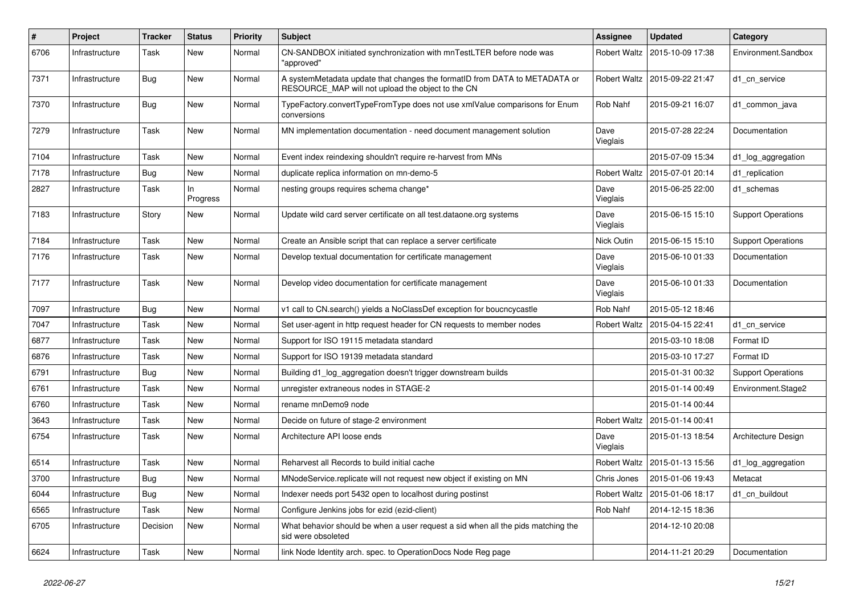| $\#$ | Project        | <b>Tracker</b> | <b>Status</b>  | Priority | <b>Subject</b>                                                                                                                  | Assignee            | <b>Updated</b>                  | Category                  |
|------|----------------|----------------|----------------|----------|---------------------------------------------------------------------------------------------------------------------------------|---------------------|---------------------------------|---------------------------|
| 6706 | Infrastructure | Task           | New            | Normal   | CN-SANDBOX initiated synchronization with mnTestLTER before node was<br>"approved"                                              | Robert Waltz        | 2015-10-09 17:38                | Environment.Sandbox       |
| 7371 | Infrastructure | <b>Bug</b>     | New            | Normal   | A systemMetadata update that changes the formatID from DATA to METADATA or<br>RESOURCE MAP will not upload the object to the CN | <b>Robert Waltz</b> | 2015-09-22 21:47                | d1_cn_service             |
| 7370 | Infrastructure | Bug            | New            | Normal   | TypeFactory.convertTypeFromType does not use xmlValue comparisons for Enum<br>conversions                                       | Rob Nahf            | 2015-09-21 16:07                | d1_common_java            |
| 7279 | Infrastructure | Task           | New            | Normal   | MN implementation documentation - need document management solution                                                             | Dave<br>Vieglais    | 2015-07-28 22:24                | Documentation             |
| 7104 | Infrastructure | Task           | New            | Normal   | Event index reindexing shouldn't require re-harvest from MNs                                                                    |                     | 2015-07-09 15:34                | d1_log_aggregation        |
| 7178 | Infrastructure | Bug            | New            | Normal   | duplicate replica information on mn-demo-5                                                                                      | <b>Robert Waltz</b> | 2015-07-01 20:14                | d1_replication            |
| 2827 | Infrastructure | Task           | In<br>Progress | Normal   | nesting groups requires schema change*                                                                                          | Dave<br>Vieglais    | 2015-06-25 22:00                | d1 schemas                |
| 7183 | Infrastructure | Story          | New            | Normal   | Update wild card server certificate on all test.dataone.org systems                                                             | Dave<br>Vieglais    | 2015-06-15 15:10                | <b>Support Operations</b> |
| 7184 | Infrastructure | Task           | New            | Normal   | Create an Ansible script that can replace a server certificate                                                                  | Nick Outin          | 2015-06-15 15:10                | <b>Support Operations</b> |
| 7176 | Infrastructure | Task           | New            | Normal   | Develop textual documentation for certificate management                                                                        | Dave<br>Vieglais    | 2015-06-10 01:33                | Documentation             |
| 7177 | Infrastructure | Task           | New            | Normal   | Develop video documentation for certificate management                                                                          | Dave<br>Vieglais    | 2015-06-10 01:33                | Documentation             |
| 7097 | Infrastructure | Bug            | New            | Normal   | v1 call to CN.search() yields a NoClassDef exception for boucncycastle                                                          | Rob Nahf            | 2015-05-12 18:46                |                           |
| 7047 | Infrastructure | Task           | <b>New</b>     | Normal   | Set user-agent in http request header for CN requests to member nodes                                                           | <b>Robert Waltz</b> | 2015-04-15 22:41                | d1 cn service             |
| 6877 | Infrastructure | Task           | New            | Normal   | Support for ISO 19115 metadata standard                                                                                         |                     | 2015-03-10 18:08                | Format ID                 |
| 6876 | Infrastructure | Task           | New            | Normal   | Support for ISO 19139 metadata standard                                                                                         |                     | 2015-03-10 17:27                | Format ID                 |
| 6791 | Infrastructure | Bug            | New            | Normal   | Building d1_log_aggregation doesn't trigger downstream builds                                                                   |                     | 2015-01-31 00:32                | <b>Support Operations</b> |
| 6761 | Infrastructure | Task           | New            | Normal   | unregister extraneous nodes in STAGE-2                                                                                          |                     | 2015-01-14 00:49                | Environment.Stage2        |
| 6760 | Infrastructure | Task           | New            | Normal   | rename mnDemo9 node                                                                                                             |                     | 2015-01-14 00:44                |                           |
| 3643 | Infrastructure | Task           | New            | Normal   | Decide on future of stage-2 environment                                                                                         |                     | Robert Waltz   2015-01-14 00:41 |                           |
| 6754 | Infrastructure | Task           | New            | Normal   | Architecture API loose ends                                                                                                     | Dave<br>Vieglais    | 2015-01-13 18:54                | Architecture Design       |
| 6514 | Infrastructure | Task           | New            | Normal   | Reharvest all Records to build initial cache                                                                                    | Robert Waltz        | 2015-01-13 15:56                | d1_log_aggregation        |
| 3700 | Infrastructure | Bug            | New            | Normal   | MNodeService.replicate will not request new object if existing on MN                                                            | Chris Jones         | 2015-01-06 19:43                | Metacat                   |
| 6044 | Infrastructure | Bug            | New            | Normal   | Indexer needs port 5432 open to localhost during postinst                                                                       |                     | Robert Waltz   2015-01-06 18:17 | d1_cn_buildout            |
| 6565 | Infrastructure | Task           | New            | Normal   | Configure Jenkins jobs for ezid (ezid-client)                                                                                   | Rob Nahf            | 2014-12-15 18:36                |                           |
| 6705 | Infrastructure | Decision       | New            | Normal   | What behavior should be when a user request a sid when all the pids matching the<br>sid were obsoleted                          |                     | 2014-12-10 20:08                |                           |
| 6624 | Infrastructure | Task           | New            | Normal   | link Node Identity arch. spec. to OperationDocs Node Reg page                                                                   |                     | 2014-11-21 20:29                | Documentation             |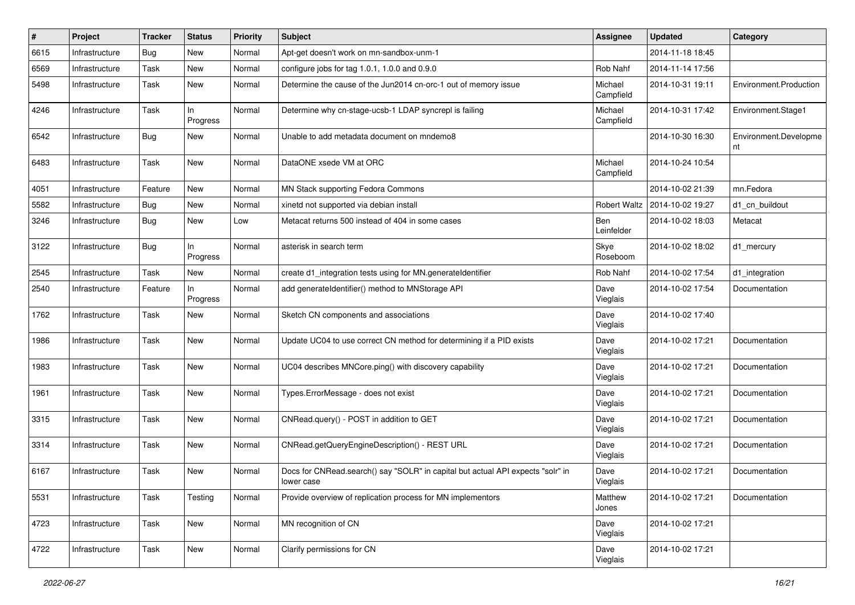| #    | Project        | <b>Tracker</b> | <b>Status</b>   | Priority | <b>Subject</b>                                                                                | <b>Assignee</b>      | <b>Updated</b>                  | Category                    |
|------|----------------|----------------|-----------------|----------|-----------------------------------------------------------------------------------------------|----------------------|---------------------------------|-----------------------------|
| 6615 | Infrastructure | <b>Bug</b>     | New             | Normal   | Apt-get doesn't work on mn-sandbox-unm-1                                                      |                      | 2014-11-18 18:45                |                             |
| 6569 | Infrastructure | Task           | <b>New</b>      | Normal   | configure jobs for tag $1.0.1$ , $1.0.0$ and $0.9.0$                                          | Rob Nahf             | 2014-11-14 17:56                |                             |
| 5498 | Infrastructure | Task           | New             | Normal   | Determine the cause of the Jun2014 cn-orc-1 out of memory issue                               | Michael<br>Campfield | 2014-10-31 19:11                | Environment.Production      |
| 4246 | Infrastructure | Task           | In.<br>Progress | Normal   | Determine why cn-stage-ucsb-1 LDAP syncrepl is failing                                        | Michael<br>Campfield | 2014-10-31 17:42                | Environment.Stage1          |
| 6542 | Infrastructure | <b>Bug</b>     | New             | Normal   | Unable to add metadata document on mndemo8                                                    |                      | 2014-10-30 16:30                | Environment.Developme<br>nt |
| 6483 | Infrastructure | Task           | New             | Normal   | DataONE xsede VM at ORC                                                                       | Michael<br>Campfield | 2014-10-24 10:54                |                             |
| 4051 | Infrastructure | Feature        | New             | Normal   | MN Stack supporting Fedora Commons                                                            |                      | 2014-10-02 21:39                | mn.Fedora                   |
| 5582 | Infrastructure | <b>Bug</b>     | <b>New</b>      | Normal   | xinetd not supported via debian install                                                       |                      | Robert Waltz   2014-10-02 19:27 | d1 cn buildout              |
| 3246 | Infrastructure | Bug            | New             | Low      | Metacat returns 500 instead of 404 in some cases                                              | Ben<br>Leinfelder    | 2014-10-02 18:03                | Metacat                     |
| 3122 | Infrastructure | Bug            | In<br>Progress  | Normal   | asterisk in search term                                                                       | Skye<br>Roseboom     | 2014-10-02 18:02                | d1 mercury                  |
| 2545 | Infrastructure | Task           | New             | Normal   | create d1_integration tests using for MN.generateIdentifier                                   | Rob Nahf             | 2014-10-02 17:54                | d1_integration              |
| 2540 | Infrastructure | Feature        | ln<br>Progress  | Normal   | add generateIdentifier() method to MNStorage API                                              | Dave<br>Vieglais     | 2014-10-02 17:54                | Documentation               |
| 1762 | Infrastructure | Task           | <b>New</b>      | Normal   | Sketch CN components and associations                                                         | Dave<br>Vieglais     | 2014-10-02 17:40                |                             |
| 1986 | Infrastructure | Task           | New             | Normal   | Update UC04 to use correct CN method for determining if a PID exists                          | Dave<br>Vieglais     | 2014-10-02 17:21                | Documentation               |
| 1983 | Infrastructure | Task           | New             | Normal   | UC04 describes MNCore.ping() with discovery capability                                        | Dave<br>Vieglais     | 2014-10-02 17:21                | Documentation               |
| 1961 | Infrastructure | Task           | New             | Normal   | Types.ErrorMessage - does not exist                                                           | Dave<br>Vieglais     | 2014-10-02 17:21                | Documentation               |
| 3315 | Infrastructure | Task           | New             | Normal   | CNRead.query() - POST in addition to GET                                                      | Dave<br>Vieglais     | 2014-10-02 17:21                | Documentation               |
| 3314 | Infrastructure | Task           | New             | Normal   | CNRead.getQueryEngineDescription() - REST URL                                                 | Dave<br>Vieglais     | 2014-10-02 17:21                | Documentation               |
| 6167 | Infrastructure | Task           | New             | Normal   | Docs for CNRead.search() say "SOLR" in capital but actual API expects "solr" in<br>lower case | Dave<br>Vieglais     | 2014-10-02 17:21                | Documentation               |
| 5531 | Infrastructure | Task           | Testing         | Normal   | Provide overview of replication process for MN implementors                                   | Matthew<br>Jones     | 2014-10-02 17:21                | Documentation               |
| 4723 | Infrastructure | Task           | New             | Normal   | MN recognition of CN                                                                          | Dave<br>Vieglais     | 2014-10-02 17:21                |                             |
| 4722 | Infrastructure | Task           | New             | Normal   | Clarify permissions for CN                                                                    | Dave<br>Vieglais     | 2014-10-02 17:21                |                             |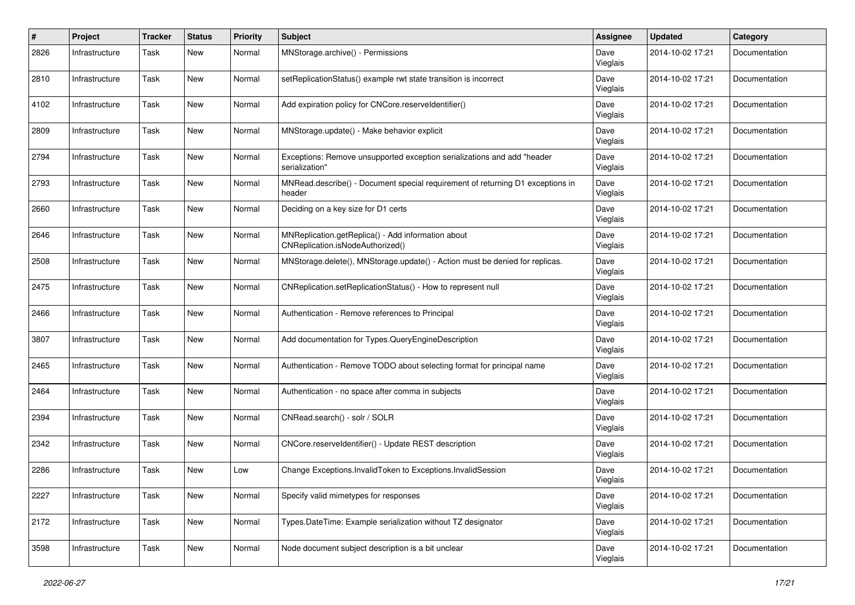| #    | Project        | <b>Tracker</b> | <b>Status</b> | <b>Priority</b> | <b>Subject</b>                                                                            | <b>Assignee</b>  | <b>Updated</b>   | Category      |
|------|----------------|----------------|---------------|-----------------|-------------------------------------------------------------------------------------------|------------------|------------------|---------------|
| 2826 | Infrastructure | Task           | New           | Normal          | MNStorage.archive() - Permissions                                                         | Dave<br>Vieglais | 2014-10-02 17:21 | Documentation |
| 2810 | Infrastructure | Task           | New           | Normal          | setReplicationStatus() example rwt state transition is incorrect                          | Dave<br>Vieglais | 2014-10-02 17:21 | Documentation |
| 4102 | Infrastructure | Task           | <b>New</b>    | Normal          | Add expiration policy for CNCore.reserveldentifier()                                      | Dave<br>Vieglais | 2014-10-02 17:21 | Documentation |
| 2809 | Infrastructure | Task           | <b>New</b>    | Normal          | MNStorage.update() - Make behavior explicit                                               | Dave<br>Vieglais | 2014-10-02 17:21 | Documentation |
| 2794 | Infrastructure | Task           | <b>New</b>    | Normal          | Exceptions: Remove unsupported exception serializations and add "header<br>serialization" | Dave<br>Vieglais | 2014-10-02 17:21 | Documentation |
| 2793 | Infrastructure | Task           | New           | Normal          | MNRead.describe() - Document special requirement of returning D1 exceptions in<br>header  | Dave<br>Vieglais | 2014-10-02 17:21 | Documentation |
| 2660 | Infrastructure | Task           | <b>New</b>    | Normal          | Deciding on a key size for D1 certs                                                       | Dave<br>Vieglais | 2014-10-02 17:21 | Documentation |
| 2646 | Infrastructure | Task           | New           | Normal          | MNReplication.getReplica() - Add information about<br>CNReplication.isNodeAuthorized()    | Dave<br>Vieglais | 2014-10-02 17:21 | Documentation |
| 2508 | Infrastructure | Task           | New           | Normal          | MNStorage.delete(), MNStorage.update() - Action must be denied for replicas.              | Dave<br>Vieglais | 2014-10-02 17:21 | Documentation |
| 2475 | Infrastructure | Task           | <b>New</b>    | Normal          | CNReplication.setReplicationStatus() - How to represent null                              | Dave<br>Vieglais | 2014-10-02 17:21 | Documentation |
| 2466 | Infrastructure | Task           | <b>New</b>    | Normal          | Authentication - Remove references to Principal                                           | Dave<br>Vieglais | 2014-10-02 17:21 | Documentation |
| 3807 | Infrastructure | Task           | <b>New</b>    | Normal          | Add documentation for Types. Query Engine Description                                     | Dave<br>Vieglais | 2014-10-02 17:21 | Documentation |
| 2465 | Infrastructure | Task           | New           | Normal          | Authentication - Remove TODO about selecting format for principal name                    | Dave<br>Vieglais | 2014-10-02 17:21 | Documentation |
| 2464 | Infrastructure | Task           | New           | Normal          | Authentication - no space after comma in subjects                                         | Dave<br>Vieglais | 2014-10-02 17:21 | Documentation |
| 2394 | Infrastructure | Task           | New           | Normal          | CNRead.search() - solr / SOLR                                                             | Dave<br>Vieglais | 2014-10-02 17:21 | Documentation |
| 2342 | Infrastructure | Task           | New           | Normal          | CNCore.reserveldentifier() - Update REST description                                      | Dave<br>Vieglais | 2014-10-02 17:21 | Documentation |
| 2286 | Infrastructure | Task           | <b>New</b>    | Low             | Change Exceptions.InvalidToken to Exceptions.InvalidSession                               | Dave<br>Vieglais | 2014-10-02 17:21 | Documentation |
| 2227 | Infrastructure | Task           | New           | Normal          | Specify valid mimetypes for responses                                                     | Dave<br>Vieglais | 2014-10-02 17:21 | Documentation |
| 2172 | Infrastructure | Task           | New           | Normal          | Types.DateTime: Example serialization without TZ designator                               | Dave<br>Vieglais | 2014-10-02 17:21 | Documentation |
| 3598 | Infrastructure | Task           | New           | Normal          | Node document subject description is a bit unclear                                        | Dave<br>Vieglais | 2014-10-02 17:21 | Documentation |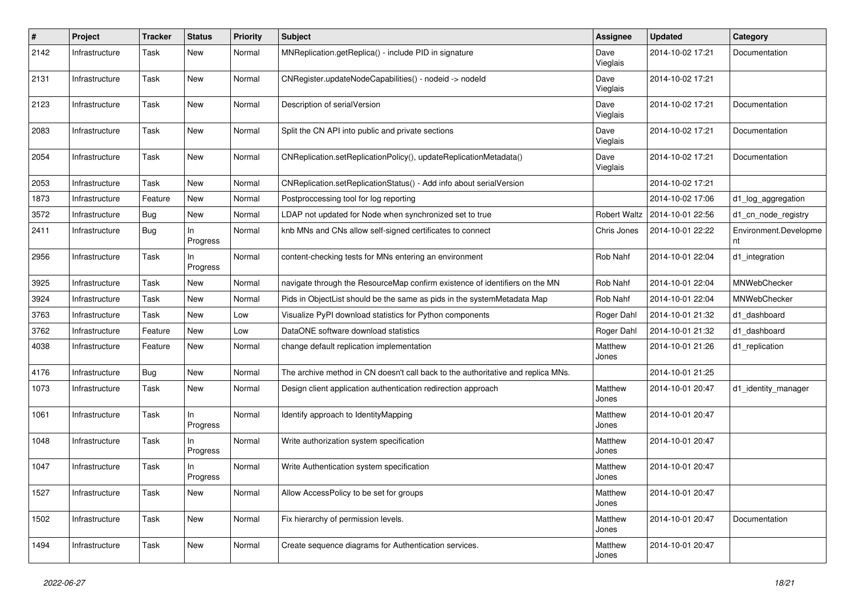| $\#$ | Project        | <b>Tracker</b> | <b>Status</b>   | <b>Priority</b> | <b>Subject</b>                                                                   | <b>Assignee</b>  | <b>Updated</b>   | Category                    |
|------|----------------|----------------|-----------------|-----------------|----------------------------------------------------------------------------------|------------------|------------------|-----------------------------|
| 2142 | Infrastructure | Task           | New             | Normal          | MNReplication.getReplica() - include PID in signature                            | Dave<br>Vieglais | 2014-10-02 17:21 | Documentation               |
| 2131 | Infrastructure | Task           | New             | Normal          | CNRegister.updateNodeCapabilities() - nodeid -> nodeld                           | Dave<br>Vieglais | 2014-10-02 17:21 |                             |
| 2123 | Infrastructure | Task           | New             | Normal          | Description of serialVersion                                                     | Dave<br>Vieglais | 2014-10-02 17:21 | Documentation               |
| 2083 | Infrastructure | Task           | <b>New</b>      | Normal          | Split the CN API into public and private sections                                | Dave<br>Vieglais | 2014-10-02 17:21 | Documentation               |
| 2054 | Infrastructure | Task           | New             | Normal          | CNReplication.setReplicationPolicy(), updateReplicationMetadata()                | Dave<br>Vieglais | 2014-10-02 17:21 | Documentation               |
| 2053 | Infrastructure | Task           | New             | Normal          | CNReplication.setReplicationStatus() - Add info about serialVersion              |                  | 2014-10-02 17:21 |                             |
| 1873 | Infrastructure | Feature        | New             | Normal          | Postproccessing tool for log reporting                                           |                  | 2014-10-02 17:06 | d1_log_aggregation          |
| 3572 | Infrastructure | Bug            | New             | Normal          | LDAP not updated for Node when synchronized set to true                          | Robert Waltz     | 2014-10-01 22:56 | d1_cn_node_registry         |
| 2411 | Infrastructure | <b>Bug</b>     | In<br>Progress  | Normal          | knb MNs and CNs allow self-signed certificates to connect                        | Chris Jones      | 2014-10-01 22:22 | Environment.Developme<br>nt |
| 2956 | Infrastructure | Task           | In<br>Progress  | Normal          | content-checking tests for MNs entering an environment                           | Rob Nahf         | 2014-10-01 22:04 | d1 integration              |
| 3925 | Infrastructure | Task           | <b>New</b>      | Normal          | navigate through the ResourceMap confirm existence of identifiers on the MN      | Rob Nahf         | 2014-10-01 22:04 | MNWebChecker                |
| 3924 | Infrastructure | Task           | New             | Normal          | Pids in ObjectList should be the same as pids in the systemMetadata Map          | Rob Nahf         | 2014-10-01 22:04 | MNWebChecker                |
| 3763 | Infrastructure | Task           | New             | Low             | Visualize PyPI download statistics for Python components                         | Roger Dahl       | 2014-10-01 21:32 | d1 dashboard                |
| 3762 | Infrastructure | Feature        | New             | Low             | DataONE software download statistics                                             | Roger Dahl       | 2014-10-01 21:32 | d1_dashboard                |
| 4038 | Infrastructure | Feature        | New             | Normal          | change default replication implementation                                        | Matthew<br>Jones | 2014-10-01 21:26 | d1_replication              |
| 4176 | Infrastructure | <b>Bug</b>     | New             | Normal          | The archive method in CN doesn't call back to the authoritative and replica MNs. |                  | 2014-10-01 21:25 |                             |
| 1073 | Infrastructure | Task           | New             | Normal          | Design client application authentication redirection approach                    | Matthew<br>Jones | 2014-10-01 20:47 | d1_identity_manager         |
| 1061 | Infrastructure | Task           | In<br>Progress  | Normal          | Identify approach to Identity Mapping                                            | Matthew<br>Jones | 2014-10-01 20:47 |                             |
| 1048 | Infrastructure | Task           | In.<br>Progress | Normal          | Write authorization system specification                                         | Matthew<br>Jones | 2014-10-01 20:47 |                             |
| 1047 | Infrastructure | Task           | In<br>Progress  | Normal          | Write Authentication system specification                                        | Matthew<br>Jones | 2014-10-01 20:47 |                             |
| 1527 | Infrastructure | Task           | New             | Normal          | Allow AccessPolicy to be set for groups                                          | Matthew<br>Jones | 2014-10-01 20:47 |                             |
| 1502 | Infrastructure | Task           | New             | Normal          | Fix hierarchy of permission levels.                                              | Matthew<br>Jones | 2014-10-01 20:47 | Documentation               |
| 1494 | Infrastructure | Task           | New             | Normal          | Create sequence diagrams for Authentication services.                            | Matthew<br>Jones | 2014-10-01 20:47 |                             |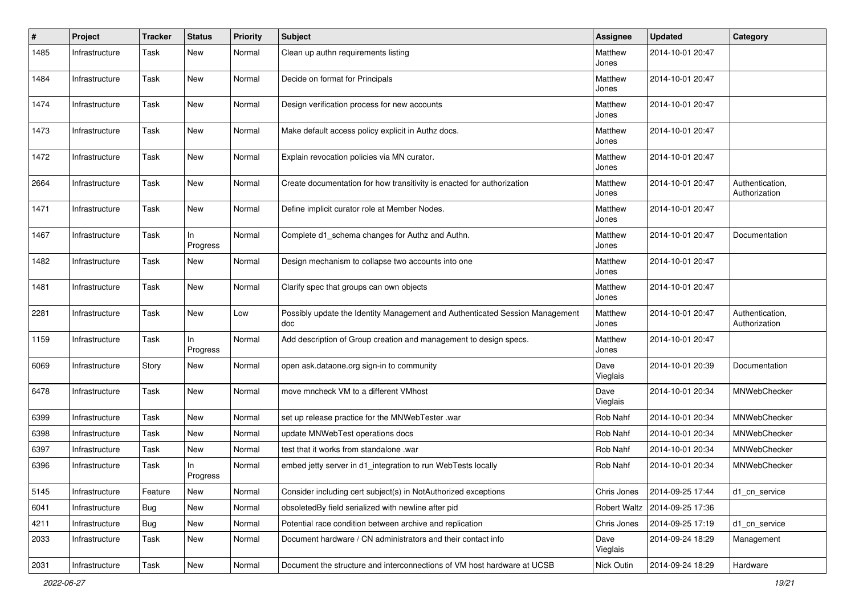| $\pmb{\#}$ | Project        | <b>Tracker</b> | <b>Status</b>   | Priority | <b>Subject</b>                                                                      | Assignee         | <b>Updated</b>   | Category                         |
|------------|----------------|----------------|-----------------|----------|-------------------------------------------------------------------------------------|------------------|------------------|----------------------------------|
| 1485       | Infrastructure | Task           | New             | Normal   | Clean up authn requirements listing                                                 | Matthew<br>Jones | 2014-10-01 20:47 |                                  |
| 1484       | Infrastructure | Task           | <b>New</b>      | Normal   | Decide on format for Principals                                                     | Matthew<br>Jones | 2014-10-01 20:47 |                                  |
| 1474       | Infrastructure | Task           | <b>New</b>      | Normal   | Design verification process for new accounts                                        | Matthew<br>Jones | 2014-10-01 20:47 |                                  |
| 1473       | Infrastructure | Task           | <b>New</b>      | Normal   | Make default access policy explicit in Authz docs.                                  | Matthew<br>Jones | 2014-10-01 20:47 |                                  |
| 1472       | Infrastructure | Task           | <b>New</b>      | Normal   | Explain revocation policies via MN curator.                                         | Matthew<br>Jones | 2014-10-01 20:47 |                                  |
| 2664       | Infrastructure | Task           | <b>New</b>      | Normal   | Create documentation for how transitivity is enacted for authorization              | Matthew<br>Jones | 2014-10-01 20:47 | Authentication,<br>Authorization |
| 1471       | Infrastructure | Task           | <b>New</b>      | Normal   | Define implicit curator role at Member Nodes.                                       | Matthew<br>Jones | 2014-10-01 20:47 |                                  |
| 1467       | Infrastructure | Task           | In<br>Progress  | Normal   | Complete d1_schema changes for Authz and Authn.                                     | Matthew<br>Jones | 2014-10-01 20:47 | Documentation                    |
| 1482       | Infrastructure | Task           | New             | Normal   | Design mechanism to collapse two accounts into one                                  | Matthew<br>Jones | 2014-10-01 20:47 |                                  |
| 1481       | Infrastructure | Task           | <b>New</b>      | Normal   | Clarify spec that groups can own objects                                            | Matthew<br>Jones | 2014-10-01 20:47 |                                  |
| 2281       | Infrastructure | Task           | <b>New</b>      | Low      | Possibly update the Identity Management and Authenticated Session Management<br>doc | Matthew<br>Jones | 2014-10-01 20:47 | Authentication,<br>Authorization |
| 1159       | Infrastructure | Task           | In.<br>Progress | Normal   | Add description of Group creation and management to design specs.                   | Matthew<br>Jones | 2014-10-01 20:47 |                                  |
| 6069       | Infrastructure | Story          | New             | Normal   | open ask.dataone.org sign-in to community                                           | Dave<br>Vieglais | 2014-10-01 20:39 | Documentation                    |
| 6478       | Infrastructure | Task           | <b>New</b>      | Normal   | move mncheck VM to a different VMhost                                               | Dave<br>Vieglais | 2014-10-01 20:34 | MNWebChecker                     |
| 6399       | Infrastructure | Task           | <b>New</b>      | Normal   | set up release practice for the MNWebTester .war                                    | Rob Nahf         | 2014-10-01 20:34 | MNWebChecker                     |
| 6398       | Infrastructure | Task           | <b>New</b>      | Normal   | update MNWebTest operations docs                                                    | Rob Nahf         | 2014-10-01 20:34 | MNWebChecker                     |
| 6397       | Infrastructure | Task           | <b>New</b>      | Normal   | test that it works from standalone .war                                             | Rob Nahf         | 2014-10-01 20:34 | MNWebChecker                     |
| 6396       | Infrastructure | Task           | In<br>Progress  | Normal   | embed jetty server in d1_integration to run WebTests locally                        | Rob Nahf         | 2014-10-01 20:34 | MNWebChecker                     |
| 5145       | Infrastructure | Feature        | New             | Normal   | Consider including cert subject(s) in NotAuthorized exceptions                      | Chris Jones      | 2014-09-25 17:44 | d1_cn_service                    |
| 6041       | Infrastructure | Bug            | New             | Normal   | obsoletedBy field serialized with newline after pid                                 | Robert Waltz     | 2014-09-25 17:36 |                                  |
| 4211       | Infrastructure | Bug            | New             | Normal   | Potential race condition between archive and replication                            | Chris Jones      | 2014-09-25 17:19 | d1 cn service                    |
| 2033       | Infrastructure | Task           | New             | Normal   | Document hardware / CN administrators and their contact info                        | Dave<br>Vieglais | 2014-09-24 18:29 | Management                       |
| 2031       | Infrastructure | Task           | New             | Normal   | Document the structure and interconnections of VM host hardware at UCSB             | Nick Outin       | 2014-09-24 18:29 | Hardware                         |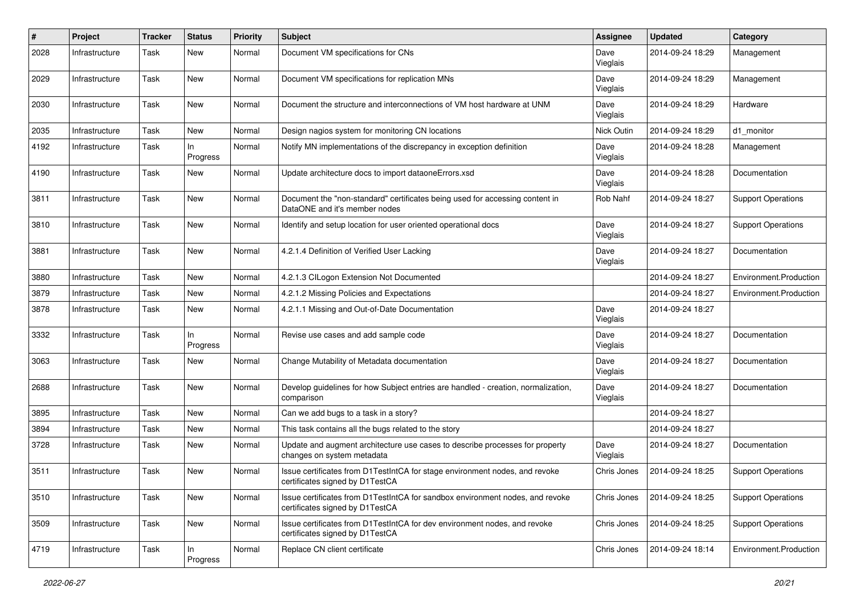| $\pmb{\#}$ | Project        | <b>Tracker</b> | <b>Status</b>     | <b>Priority</b> | <b>Subject</b>                                                                                                   | <b>Assignee</b>  | <b>Updated</b>   | Category                  |
|------------|----------------|----------------|-------------------|-----------------|------------------------------------------------------------------------------------------------------------------|------------------|------------------|---------------------------|
| 2028       | Infrastructure | Task           | <b>New</b>        | Normal          | Document VM specifications for CNs                                                                               | Dave<br>Vieglais | 2014-09-24 18:29 | Management                |
| 2029       | Infrastructure | Task           | <b>New</b>        | Normal          | Document VM specifications for replication MNs                                                                   | Dave<br>Vieglais | 2014-09-24 18:29 | Management                |
| 2030       | Infrastructure | Task           | <b>New</b>        | Normal          | Document the structure and interconnections of VM host hardware at UNM                                           | Dave<br>Vieglais | 2014-09-24 18:29 | Hardware                  |
| 2035       | Infrastructure | Task           | <b>New</b>        | Normal          | Design nagios system for monitoring CN locations                                                                 | Nick Outin       | 2014-09-24 18:29 | d1 monitor                |
| 4192       | Infrastructure | Task           | $\ln$<br>Progress | Normal          | Notify MN implementations of the discrepancy in exception definition                                             | Dave<br>Vieglais | 2014-09-24 18:28 | Management                |
| 4190       | Infrastructure | Task           | <b>New</b>        | Normal          | Update architecture docs to import dataoneErrors.xsd                                                             | Dave<br>Vieglais | 2014-09-24 18:28 | Documentation             |
| 3811       | Infrastructure | Task           | <b>New</b>        | Normal          | Document the "non-standard" certificates being used for accessing content in<br>DataONE and it's member nodes    | Rob Nahf         | 2014-09-24 18:27 | <b>Support Operations</b> |
| 3810       | Infrastructure | Task           | <b>New</b>        | Normal          | Identify and setup location for user oriented operational docs                                                   | Dave<br>Vieglais | 2014-09-24 18:27 | <b>Support Operations</b> |
| 3881       | Infrastructure | Task           | <b>New</b>        | Normal          | 4.2.1.4 Definition of Verified User Lacking                                                                      | Dave<br>Vieglais | 2014-09-24 18:27 | Documentation             |
| 3880       | Infrastructure | Task           | <b>New</b>        | Normal          | 4.2.1.3 CILogon Extension Not Documented                                                                         |                  | 2014-09-24 18:27 | Environment.Production    |
| 3879       | Infrastructure | Task           | <b>New</b>        | Normal          | 4.2.1.2 Missing Policies and Expectations                                                                        |                  | 2014-09-24 18:27 | Environment.Production    |
| 3878       | Infrastructure | Task           | <b>New</b>        | Normal          | 4.2.1.1 Missing and Out-of-Date Documentation                                                                    | Dave<br>Vieglais | 2014-09-24 18:27 |                           |
| 3332       | Infrastructure | Task           | ln<br>Progress    | Normal          | Revise use cases and add sample code                                                                             | Dave<br>Vieglais | 2014-09-24 18:27 | Documentation             |
| 3063       | Infrastructure | Task           | <b>New</b>        | Normal          | Change Mutability of Metadata documentation                                                                      | Dave<br>Vieglais | 2014-09-24 18:27 | Documentation             |
| 2688       | Infrastructure | Task           | <b>New</b>        | Normal          | Develop guidelines for how Subject entries are handled - creation, normalization,<br>comparison                  | Dave<br>Vieglais | 2014-09-24 18:27 | Documentation             |
| 3895       | Infrastructure | Task           | <b>New</b>        | Normal          | Can we add bugs to a task in a story?                                                                            |                  | 2014-09-24 18:27 |                           |
| 3894       | Infrastructure | Task           | <b>New</b>        | Normal          | This task contains all the bugs related to the story                                                             |                  | 2014-09-24 18:27 |                           |
| 3728       | Infrastructure | Task           | <b>New</b>        | Normal          | Update and augment architecture use cases to describe processes for property<br>changes on system metadata       | Dave<br>Vieglais | 2014-09-24 18:27 | Documentation             |
| 3511       | Infrastructure | Task           | New               | Normal          | Issue certificates from D1TestIntCA for stage environment nodes, and revoke<br>certificates signed by D1TestCA   | Chris Jones      | 2014-09-24 18:25 | <b>Support Operations</b> |
| 3510       | Infrastructure | Task           | New               | Normal          | Issue certificates from D1TestIntCA for sandbox environment nodes, and revoke<br>certificates signed by D1TestCA | Chris Jones      | 2014-09-24 18:25 | <b>Support Operations</b> |
| 3509       | Infrastructure | Task           | New               | Normal          | Issue certificates from D1TestIntCA for dev environment nodes, and revoke<br>certificates signed by D1TestCA     | Chris Jones      | 2014-09-24 18:25 | <b>Support Operations</b> |
| 4719       | Infrastructure | Task           | In<br>Progress    | Normal          | Replace CN client certificate                                                                                    | Chris Jones      | 2014-09-24 18:14 | Environment.Production    |